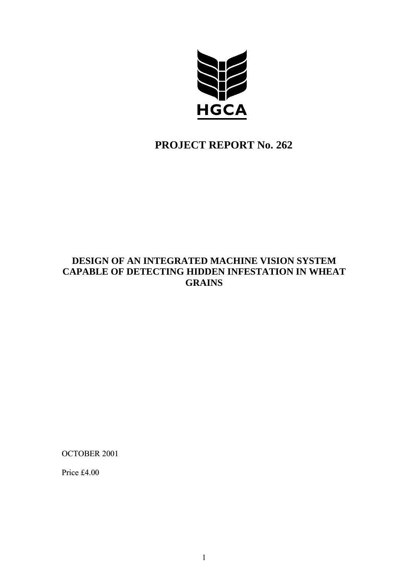

# **PROJECT REPORT No. 262**

# **DESIGN OF AN INTEGRATED MACHINE VISION SYSTEM CAPABLE OF DETECTING HIDDEN INFESTATION IN WHEAT GRAINS**

OCTOBER 2001

Price £4.00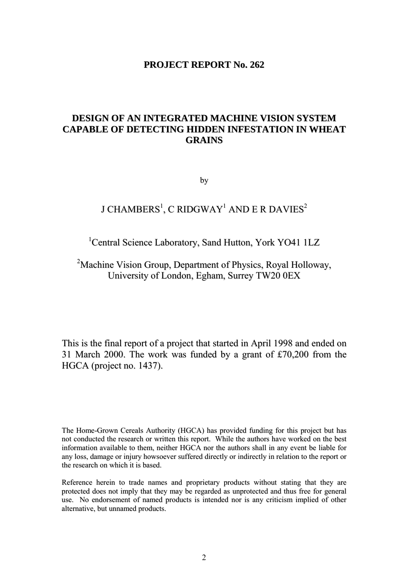# **PROJECT REPORT No. 262**

# **DESIGN OF AN INTEGRATED MACHINE VISION SYSTEM CAPABLE OF DETECTING HIDDEN INFESTATION IN WHEAT GRAINS**

by

# J CHAMBERS $^{\rm l}$ , C RIDGWAY $^{\rm l}$  AND E R DAVIES $^{\rm 2}$

# <sup>1</sup>Central Science Laboratory, Sand Hutton, York YO41 1LZ

<sup>2</sup>Machine Vision Group, Department of Physics, Royal Holloway, University of London, Egham, Surrey TW20 0EX

This is the final report of a project that started in April 1998 and ended on 31 March 2000. The work was funded by a grant of £70,200 from the HGCA (project no. 1437).

The Home-Grown Cereals Authority (HGCA) has provided funding for this project but has not conducted the research or written this report. While the authors have worked on the best information available to them, neither HGCA nor the authors shall in any event be liable for any loss, damage or injury howsoever suffered directly or indirectly in relation to the report or the research on which it is based.

Reference herein to trade names and proprietary products without stating that they are protected does not imply that they may be regarded as unprotected and thus free for general use. No endorsement of named products is intended nor is any criticism implied of other alternative, but unnamed products.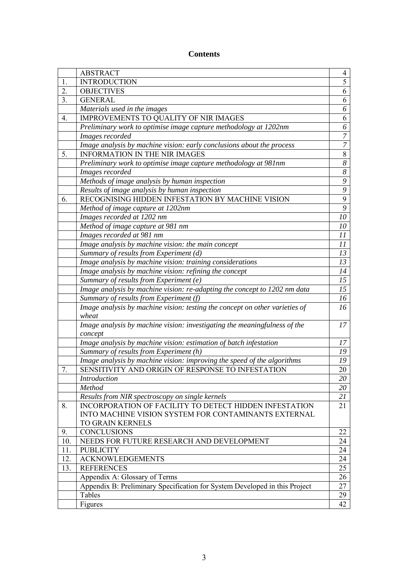# **Contents**

|     | <b>ABSTRACT</b>                                                                      | 4                   |
|-----|--------------------------------------------------------------------------------------|---------------------|
| 1.  | <b>INTRODUCTION</b>                                                                  | $\overline{5}$      |
| 2.  | <b>OBJECTIVES</b>                                                                    | 6                   |
| 3.  | <b>GENERAL</b>                                                                       | 6                   |
|     | Materials used in the images                                                         | 6                   |
| 4.  | IMPROVEMENTS TO QUALITY OF NIR IMAGES                                                | 6                   |
|     | Preliminary work to optimise image capture methodology at 1202nm                     | 6                   |
|     | Images recorded                                                                      | $\boldsymbol{7}$    |
|     | Image analysis by machine vision: early conclusions about the process                | $\overline{7}$      |
| 5.  | <b>INFORMATION IN THE NIR IMAGES</b>                                                 | $8\,$               |
|     | Preliminary work to optimise image capture methodology at 981nm                      | $\overline{\delta}$ |
|     | Images recorded                                                                      | $\boldsymbol{8}$    |
|     | Methods of image analysis by human inspection                                        | $\overline{9}$      |
|     | Results of image analysis by human inspection                                        | $\overline{9}$      |
| 6.  | RECOGNISING HIDDEN INFESTATION BY MACHINE VISION                                     | $\overline{9}$      |
|     | Method of image capture at 1202nm                                                    | $\overline{9}$      |
|     | Images recorded at 1202 nm                                                           | 10                  |
|     | Method of image capture at 981 nm                                                    | 10                  |
|     | Images recorded at 981 nm                                                            | 11                  |
|     | Image analysis by machine vision: the main concept                                   | 11                  |
|     |                                                                                      | 13                  |
|     | Summary of results from Experiment (d)                                               | 13                  |
|     | Image analysis by machine vision: training considerations                            | 14                  |
|     | Image analysis by machine vision: refining the concept                               | 15                  |
|     | Summary of results from Experiment (e)                                               | 15                  |
|     | Image analysis by machine vision: re-adapting the concept to 1202 nm data            |                     |
|     | Summary of results from Experiment (f)                                               | 16<br>16            |
|     | Image analysis by machine vision: testing the concept on other varieties of<br>wheat |                     |
|     | Image analysis by machine vision: investigating the meaningfulness of the            | 17                  |
|     | concept                                                                              |                     |
|     | Image analysis by machine vision: estimation of batch infestation                    | 17                  |
|     | Summary of results from Experiment (h)                                               | 19                  |
|     | Image analysis by machine vision: improving the speed of the algorithms              | 19                  |
| 7.  | SENSITIVITY AND ORIGIN OF RESPONSE TO INFESTATION                                    | 20                  |
|     | Introduction                                                                         |                     |
|     | Method                                                                               | 20<br>20            |
|     | Results from NIR spectroscopy on single kernels                                      |                     |
| 8.  | INCORPORATION OF FACILITY TO DETECT HIDDEN INFESTATION                               | 21<br>21            |
|     | INTO MACHINE VISION SYSTEM FOR CONTAMINANTS EXTERNAL                                 |                     |
|     | <b>TO GRAIN KERNELS</b>                                                              |                     |
| 9.  | <b>CONCLUSIONS</b>                                                                   | 22                  |
| 10. | NEEDS FOR FUTURE RESEARCH AND DEVELOPMENT                                            | 24                  |
| 11. | <b>PUBLICITY</b>                                                                     | 24                  |
| 12. | <b>ACKNOWLEDGEMENTS</b>                                                              | 24                  |
| 13. | <b>REFERENCES</b>                                                                    | 25                  |
|     | Appendix A: Glossary of Terms                                                        | 26                  |
|     | Appendix B: Preliminary Specification for System Developed in this Project           | 27                  |
|     | Tables                                                                               | 29                  |
|     | Figures                                                                              | 42                  |
|     |                                                                                      |                     |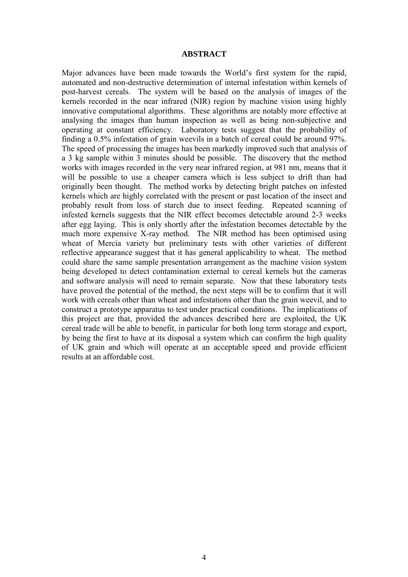#### **ABSTRACT**

Major advances have been made towards the World's first system for the rapid, automated and non-destructive determination of internal infestation within kernels of post-harvest cereals. The system will be based on the analysis of images of the kernels recorded in the near infrared (NIR) region by machine vision using highly innovative computational algorithms. These algorithms are notably more effective at analysing the images than human inspection as well as being non-subjective and operating at constant efficiency. Laboratory tests suggest that the probability of finding a 0.5% infestation of grain weevils in a batch of cereal could be around 97%. The speed of processing the images has been markedly improved such that analysis of a 3 kg sample within 3 minutes should be possible. The discovery that the method works with images recorded in the very near infrared region, at 981 nm, means that it will be possible to use a cheaper camera which is less subject to drift than had originally been thought. The method works by detecting bright patches on infested kernels which are highly correlated with the present or past location of the insect and probably result from loss of starch due to insect feeding. Repeated scanning of infested kernels suggests that the NIR effect becomes detectable around 2-3 weeks after egg laying. This is only shortly after the infestation becomes detectable by the much more expensive X-ray method. The NIR method has been optimised using wheat of Mercia variety but preliminary tests with other varieties of different reflective appearance suggest that it has general applicability to wheat. The method could share the same sample presentation arrangement as the machine vision system being developed to detect contamination external to cereal kernels but the cameras and software analysis will need to remain separate. Now that these laboratory tests have proved the potential of the method, the next steps will be to confirm that it will work with cereals other than wheat and infestations other than the grain weevil, and to construct a prototype apparatus to test under practical conditions. The implications of this project are that, provided the advances described here are exploited, the UK cereal trade will be able to benefit, in particular for both long term storage and export, by being the first to have at its disposal a system which can confirm the high quality of UK grain and which will operate at an acceptable speed and provide efficient results at an affordable cost.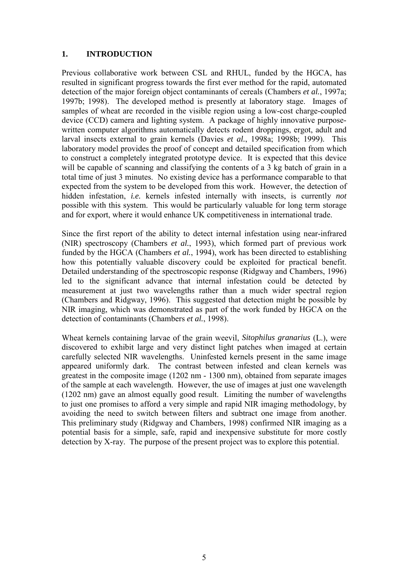## **1. INTRODUCTION**

Previous collaborative work between CSL and RHUL, funded by the HGCA, has resulted in significant progress towards the first ever method for the rapid, automated detection of the major foreign object contaminants of cereals (Chambers *et al.*, 1997a; 1997b; 1998). The developed method is presently at laboratory stage. Images of samples of wheat are recorded in the visible region using a low-cost charge-coupled device (CCD) camera and lighting system. A package of highly innovative purposewritten computer algorithms automatically detects rodent droppings, ergot, adult and larval insects external to grain kernels (Davies *et al.*, 1998a; 1998b; 1999). This laboratory model provides the proof of concept and detailed specification from which to construct a completely integrated prototype device. It is expected that this device will be capable of scanning and classifying the contents of a 3 kg batch of grain in a total time of just 3 minutes. No existing device has a performance comparable to that expected from the system to be developed from this work. However, the detection of hidden infestation, *i.e.* kernels infested internally with insects, is currently *not* possible with this system. This would be particularly valuable for long term storage and for export, where it would enhance UK competitiveness in international trade.

Since the first report of the ability to detect internal infestation using near-infrared (NIR) spectroscopy (Chambers *et al.*, 1993), which formed part of previous work funded by the HGCA (Chambers *et al.*, 1994), work has been directed to establishing how this potentially valuable discovery could be exploited for practical benefit. Detailed understanding of the spectroscopic response (Ridgway and Chambers, 1996) led to the significant advance that internal infestation could be detected by measurement at just two wavelengths rather than a much wider spectral region (Chambers and Ridgway, 1996). This suggested that detection might be possible by NIR imaging, which was demonstrated as part of the work funded by HGCA on the detection of contaminants (Chambers *et al.*, 1998).

Wheat kernels containing larvae of the grain weevil, *Sitophilus granarius* (L.), were discovered to exhibit large and very distinct light patches when imaged at certain carefully selected NIR wavelengths. Uninfested kernels present in the same image appeared uniformly dark. The contrast between infested and clean kernels was greatest in the composite image (1202 nm - 1300 nm), obtained from separate images of the sample at each wavelength. However, the use of images at just one wavelength (1202 nm) gave an almost equally good result. Limiting the number of wavelengths to just one promises to afford a very simple and rapid NIR imaging methodology, by avoiding the need to switch between filters and subtract one image from another. This preliminary study (Ridgway and Chambers, 1998) confirmed NIR imaging as a potential basis for a simple, safe, rapid and inexpensive substitute for more costly detection by X-ray. The purpose of the present project was to explore this potential.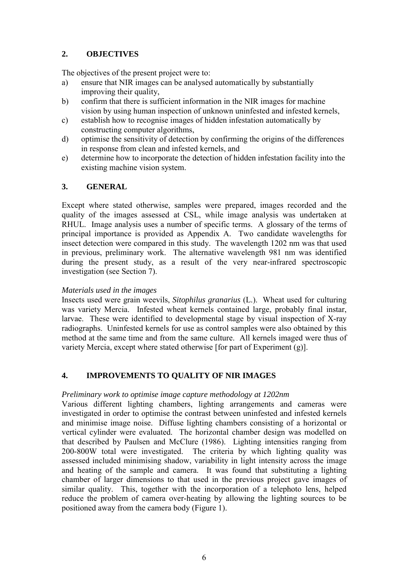# **2. OBJECTIVES**

The objectives of the present project were to:

- a) ensure that NIR images can be analysed automatically by substantially improving their quality,
- b) confirm that there is sufficient information in the NIR images for machine vision by using human inspection of unknown uninfested and infested kernels,
- c) establish how to recognise images of hidden infestation automatically by constructing computer algorithms,
- d) optimise the sensitivity of detection by confirming the origins of the differences in response from clean and infested kernels, and
- e) determine how to incorporate the detection of hidden infestation facility into the existing machine vision system.

## **3. GENERAL**

Except where stated otherwise, samples were prepared, images recorded and the quality of the images assessed at CSL, while image analysis was undertaken at RHUL. Image analysis uses a number of specific terms. A glossary of the terms of principal importance is provided as Appendix A. Two candidate wavelengths for insect detection were compared in this study. The wavelength 1202 nm was that used in previous, preliminary work. The alternative wavelength 981 nm was identified during the present study, as a result of the very near-infrared spectroscopic investigation (see Section 7).

### *Materials used in the images*

Insects used were grain weevils, *Sitophilus granarius* (L.). Wheat used for culturing was variety Mercia. Infested wheat kernels contained large, probably final instar, larvae. These were identified to developmental stage by visual inspection of X-ray radiographs. Uninfested kernels for use as control samples were also obtained by this method at the same time and from the same culture. All kernels imaged were thus of variety Mercia, except where stated otherwise [for part of Experiment (g)].

## **4. IMPROVEMENTS TO QUALITY OF NIR IMAGES**

## *Preliminary work to optimise image capture methodology at 1202nm*

Various different lighting chambers, lighting arrangements and cameras were investigated in order to optimise the contrast between uninfested and infested kernels and minimise image noise. Diffuse lighting chambers consisting of a horizontal or vertical cylinder were evaluated. The horizontal chamber design was modelled on that described by Paulsen and McClure (1986). Lighting intensities ranging from 200-800W total were investigated. The criteria by which lighting quality was assessed included minimising shadow, variability in light intensity across the image and heating of the sample and camera. It was found that substituting a lighting chamber of larger dimensions to that used in the previous project gave images of similar quality. This, together with the incorporation of a telephoto lens, helped reduce the problem of camera over-heating by allowing the lighting sources to be positioned away from the camera body (Figure 1).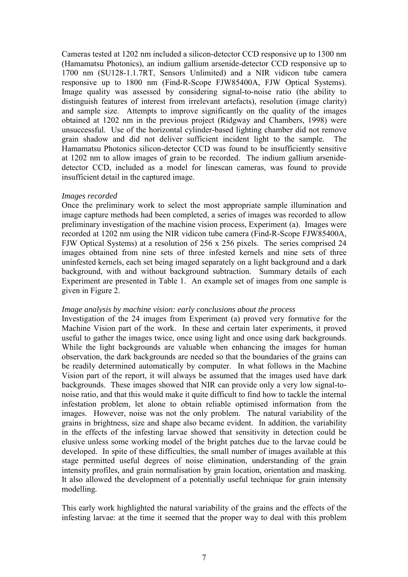Cameras tested at 1202 nm included a silicon-detector CCD responsive up to 1300 nm (Hamamatsu Photonics), an indium gallium arsenide-detector CCD responsive up to 1700 nm (SU128-1.1.7RT, Sensors Unlimited) and a NIR vidicon tube camera responsive up to 1800 nm (Find-R-Scope FJW85400A, FJW Optical Systems). Image quality was assessed by considering signal-to-noise ratio (the ability to distinguish features of interest from irrelevant artefacts), resolution (image clarity) and sample size. Attempts to improve significantly on the quality of the images obtained at 1202 nm in the previous project (Ridgway and Chambers, 1998) were unsuccessful. Use of the horizontal cylinder-based lighting chamber did not remove grain shadow and did not deliver sufficient incident light to the sample. The Hamamatsu Photonics silicon-detector CCD was found to be insufficiently sensitive at 1202 nm to allow images of grain to be recorded. The indium gallium arsenidedetector CCD, included as a model for linescan cameras, was found to provide insufficient detail in the captured image.

#### *Images recorded*

Once the preliminary work to select the most appropriate sample illumination and image capture methods had been completed, a series of images was recorded to allow preliminary investigation of the machine vision process, Experiment (a). Images were recorded at 1202 nm using the NIR vidicon tube camera (Find-R-Scope FJW85400A, FJW Optical Systems) at a resolution of 256 x 256 pixels. The series comprised 24 images obtained from nine sets of three infested kernels and nine sets of three uninfested kernels, each set being imaged separately on a light background and a dark background, with and without background subtraction. Summary details of each Experiment are presented in Table 1. An example set of images from one sample is given in Figure 2.

### *Image analysis by machine vision: early conclusions about the process*

Investigation of the 24 images from Experiment (a) proved very formative for the Machine Vision part of the work. In these and certain later experiments, it proved useful to gather the images twice, once using light and once using dark backgrounds. While the light backgrounds are valuable when enhancing the images for human observation, the dark backgrounds are needed so that the boundaries of the grains can be readily determined automatically by computer. In what follows in the Machine Vision part of the report, it will always be assumed that the images used have dark backgrounds. These images showed that NIR can provide only a very low signal-tonoise ratio, and that this would make it quite difficult to find how to tackle the internal infestation problem, let alone to obtain reliable optimised information from the images. However, noise was not the only problem. The natural variability of the grains in brightness, size and shape also became evident. In addition, the variability in the effects of the infesting larvae showed that sensitivity in detection could be elusive unless some working model of the bright patches due to the larvae could be developed. In spite of these difficulties, the small number of images available at this stage permitted useful degrees of noise elimination, understanding of the grain intensity profiles, and grain normalisation by grain location, orientation and masking. It also allowed the development of a potentially useful technique for grain intensity modelling.

This early work highlighted the natural variability of the grains and the effects of the infesting larvae: at the time it seemed that the proper way to deal with this problem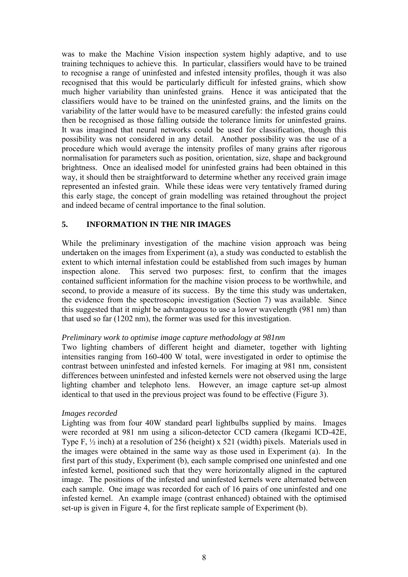was to make the Machine Vision inspection system highly adaptive, and to use training techniques to achieve this. In particular, classifiers would have to be trained to recognise a range of uninfested and infested intensity profiles, though it was also recognised that this would be particularly difficult for infested grains, which show much higher variability than uninfested grains. Hence it was anticipated that the classifiers would have to be trained on the uninfested grains, and the limits on the variability of the latter would have to be measured carefully: the infested grains could then be recognised as those falling outside the tolerance limits for uninfested grains. It was imagined that neural networks could be used for classification, though this possibility was not considered in any detail. Another possibility was the use of a procedure which would average the intensity profiles of many grains after rigorous normalisation for parameters such as position, orientation, size, shape and background brightness. Once an idealised model for uninfested grains had been obtained in this way, it should then be straightforward to determine whether any received grain image represented an infested grain. While these ideas were very tentatively framed during this early stage, the concept of grain modelling was retained throughout the project and indeed became of central importance to the final solution.

### **5. INFORMATION IN THE NIR IMAGES**

While the preliminary investigation of the machine vision approach was being undertaken on the images from Experiment (a), a study was conducted to establish the extent to which internal infestation could be established from such images by human inspection alone. This served two purposes: first, to confirm that the images contained sufficient information for the machine vision process to be worthwhile, and second, to provide a measure of its success. By the time this study was undertaken, the evidence from the spectroscopic investigation (Section 7) was available. Since this suggested that it might be advantageous to use a lower wavelength (981 nm) than that used so far (1202 nm), the former was used for this investigation.

### *Preliminary work to optimise image capture methodology at 981nm*

Two lighting chambers of different height and diameter, together with lighting intensities ranging from 160-400 W total, were investigated in order to optimise the contrast between uninfested and infested kernels. For imaging at 981 nm, consistent differences between uninfested and infested kernels were not observed using the large lighting chamber and telephoto lens. However, an image capture set-up almost identical to that used in the previous project was found to be effective (Figure 3).

### *Images recorded*

Lighting was from four 40W standard pearl lightbulbs supplied by mains.Images were recorded at 981 nm using a silicon-detector CCD camera (Ikegami ICD-42E, Type F, ½ inch) at a resolution of 256 (height) x 521 (width) pixels. Materials used in the images were obtained in the same way as those used in Experiment (a). In the first part of this study, Experiment (b), each sample comprised one uninfested and one infested kernel, positioned such that they were horizontally aligned in the captured image. The positions of the infested and uninfested kernels were alternated between each sample. One image was recorded for each of 16 pairs of one uninfested and one infested kernel. An example image (contrast enhanced) obtained with the optimised set-up is given in Figure 4, for the first replicate sample of Experiment (b).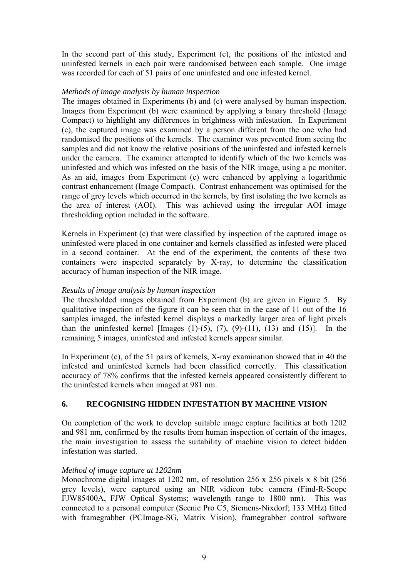In the second part of this study, Experiment (c), the positions of the infested and uninfested kernels in each pair were randomised between each sample. One image was recorded for each of 51 pairs of one uninfested and one infested kernel.

### *Methods of image analysis by human inspection*

The images obtained in Experiments (b) and (c) were analysed by human inspection. Images from Experiment (b) were examined by applying a binary threshold (Image Compact) to highlight any differences in brightness with infestation. In Experiment (c), the captured image was examined by a person different from the one who had randomised the positions of the kernels. The examiner was prevented from seeing the samples and did not know the relative positions of the uninfested and infested kernels under the camera. The examiner attempted to identify which of the two kernels was uninfested and which was infested on the basis of the NIR image, using a pc monitor. As an aid, images from Experiment (c) were enhanced by applying a logarithmic contrast enhancement (Image Compact). Contrast enhancement was optimised for the range of grey levels which occurred in the kernels, by first isolating the two kernels as the area of interest (AOI). This was achieved using the irregular AOI image thresholding option included in the software.

Kernels in Experiment (c) that were classified by inspection of the captured image as uninfested were placed in one container and kernels classified as infested were placed in a second container. At the end of the experiment, the contents of these two containers were inspected separately by X-ray, to determine the classification accuracy of human inspection of the NIR image.

### *Results of image analysis by human inspection*

The thresholded images obtained from Experiment (b) are given in Figure 5. By qualitative inspection of the figure it can be seen that in the case of 11 out of the 16 samples imaged, the infested kernel displays a markedly larger area of light pixels than the uninfested kernel [Images  $(1)$ - $(5)$ ,  $(7)$ ,  $(9)$ - $(11)$ ,  $(13)$  and  $(15)$ ]. In the remaining 5 images, uninfested and infested kernels appear similar.

In Experiment (c), of the 51 pairs of kernels, X-ray examination showed that in 40 the infested and uninfested kernels had been classified correctly. This classification accuracy of 78% confirms that the infested kernels appeared consistently different to the uninfested kernels when imaged at 981 nm.

## **6. RECOGNISING HIDDEN INFESTATION BY MACHINE VISION**

On completion of the work to develop suitable image capture facilities at both 1202 and 981 nm, confirmed by the results from human inspection of certain of the images, the main investigation to assess the suitability of machine vision to detect hidden infestation was started.

## *Method of image capture at 1202nm*

Monochrome digital images at 1202 nm, of resolution 256 x 256 pixels x 8 bit (256 grey levels), were captured using an NIR vidicon tube camera (Find-R-Scope FJW85400A, FJW Optical Systems; wavelength range to 1800 nm). This was connected to a personal computer (Scenic Pro C5, Siemens-Nixdorf; 133 MHz) fitted with framegrabber (PCImage-SG, Matrix Vision), framegrabber control software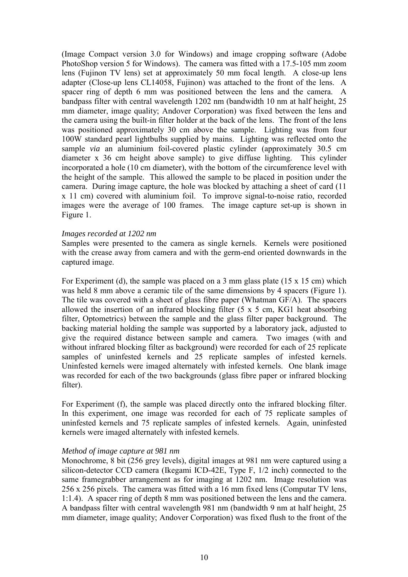(Image Compact version 3.0 for Windows) and image cropping software (Adobe PhotoShop version 5 for Windows). The camera was fitted with a 17.5-105 mm zoom lens (Fujinon TV lens) set at approximately 50 mm focal length. A close-up lens adapter (Close-up lens CL14058, Fujinon) was attached to the front of the lens. A spacer ring of depth 6 mm was positioned between the lens and the camera. A bandpass filter with central wavelength 1202 nm (bandwidth 10 nm at half height, 25 mm diameter, image quality; Andover Corporation) was fixed between the lens and the camera using the built-in filter holder at the back of the lens. The front of the lens was positioned approximately 30 cm above the sample. Lighting was from four 100W standard pearl lightbulbs supplied by mains. Lighting was reflected onto the sample *via* an aluminium foil-covered plastic cylinder (approximately 30.5 cm) diameter x 36 cm height above sample) to give diffuse lighting. This cylinder incorporated a hole (10 cm diameter), with the bottom of the circumference level with the height of the sample. This allowed the sample to be placed in position under the camera. During image capture, the hole was blocked by attaching a sheet of card (11 x 11 cm) covered with aluminium foil. To improve signal-to-noise ratio, recorded images were the average of 100 frames. The image capture set-up is shown in Figure 1.

#### *Images recorded at 1202 nm*

Samples were presented to the camera as single kernels. Kernels were positioned with the crease away from camera and with the germ-end oriented downwards in the captured image.

For Experiment (d), the sample was placed on a 3 mm glass plate (15 x 15 cm) which was held 8 mm above a ceramic tile of the same dimensions by 4 spacers (Figure 1). The tile was covered with a sheet of glass fibre paper (Whatman GF/A). The spacers allowed the insertion of an infrared blocking filter (5 x 5 cm, KG1 heat absorbing filter, Optometrics) between the sample and the glass filter paper background. The backing material holding the sample was supported by a laboratory jack, adjusted to give the required distance between sample and camera. Two images (with and without infrared blocking filter as background) were recorded for each of 25 replicate samples of uninfested kernels and 25 replicate samples of infested kernels. Uninfested kernels were imaged alternately with infested kernels. One blank image was recorded for each of the two backgrounds (glass fibre paper or infrared blocking filter).

For Experiment (f), the sample was placed directly onto the infrared blocking filter. In this experiment, one image was recorded for each of 75 replicate samples of uninfested kernels and 75 replicate samples of infested kernels. Again, uninfested kernels were imaged alternately with infested kernels.

### *Method of image capture at 981 nm*

Monochrome, 8 bit (256 grey levels), digital images at 981 nm were captured using a silicon-detector CCD camera (Ikegami ICD-42E, Type F, 1/2 inch) connected to the same framegrabber arrangement as for imaging at 1202 nm. Image resolution was 256 x 256 pixels. The camera was fitted with a 16 mm fixed lens (Computar TV lens, 1:1.4). A spacer ring of depth 8 mm was positioned between the lens and the camera. A bandpass filter with central wavelength 981 nm (bandwidth 9 nm at half height, 25 mm diameter, image quality; Andover Corporation) was fixed flush to the front of the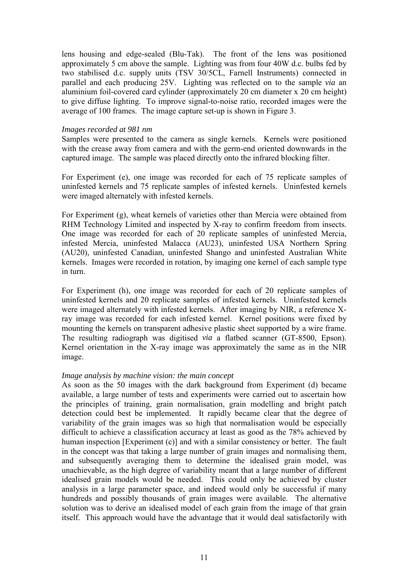lens housing and edge-sealed (Blu-Tak). The front of the lens was positioned approximately 5 cm above the sample. Lighting was from four 40W d.c. bulbs fed by two stabilised d.c. supply units (TSV 30/5CL, Farnell Instruments) connected in parallel and each producing 25V. Lighting was reflected on to the sample *via* an aluminium foil-covered card cylinder (approximately 20 cm diameter x 20 cm height) to give diffuse lighting. To improve signal-to-noise ratio, recorded images were the average of 100 frames. The image capture set-up is shown in Figure 3.

#### *Images recorded at 981 nm*

Samples were presented to the camera as single kernels. Kernels were positioned with the crease away from camera and with the germ-end oriented downwards in the captured image. The sample was placed directly onto the infrared blocking filter.

For Experiment (e), one image was recorded for each of 75 replicate samples of uninfested kernels and 75 replicate samples of infested kernels. Uninfested kernels were imaged alternately with infested kernels.

For Experiment (g), wheat kernels of varieties other than Mercia were obtained from RHM Technology Limited and inspected by X-ray to confirm freedom from insects. One image was recorded for each of 20 replicate samples of uninfested Mercia, infested Mercia, uninfested Malacca (AU23), uninfested USA Northern Spring (AU20), uninfested Canadian, uninfested Shango and uninfested Australian White kernels. Images were recorded in rotation, by imaging one kernel of each sample type in turn.

For Experiment (h), one image was recorded for each of 20 replicate samples of uninfested kernels and 20 replicate samples of infested kernels. Uninfested kernels were imaged alternately with infested kernels. After imaging by NIR, a reference Xray image was recorded for each infested kernel. Kernel positions were fixed by mounting the kernels on transparent adhesive plastic sheet supported by a wire frame. The resulting radiograph was digitised *via* a flatbed scanner (GT-8500, Epson). Kernel orientation in the X-ray image was approximately the same as in the NIR image.

### *Image analysis by machine vision: the main concept*

As soon as the 50 images with the dark background from Experiment (d) became available, a large number of tests and experiments were carried out to ascertain how the principles of training, grain normalisation, grain modelling and bright patch detection could best be implemented. It rapidly became clear that the degree of variability of the grain images was so high that normalisation would be especially difficult to achieve a classification accuracy at least as good as the 78% achieved by human inspection [Experiment (c)] and with a similar consistency or better. The fault in the concept was that taking a large number of grain images and normalising them, and subsequently averaging them to determine the idealised grain model, was unachievable, as the high degree of variability meant that a large number of different idealised grain models would be needed. This could only be achieved by cluster analysis in a large parameter space, and indeed would only be successful if many hundreds and possibly thousands of grain images were available. The alternative solution was to derive an idealised model of each grain from the image of that grain itself. This approach would have the advantage that it would deal satisfactorily with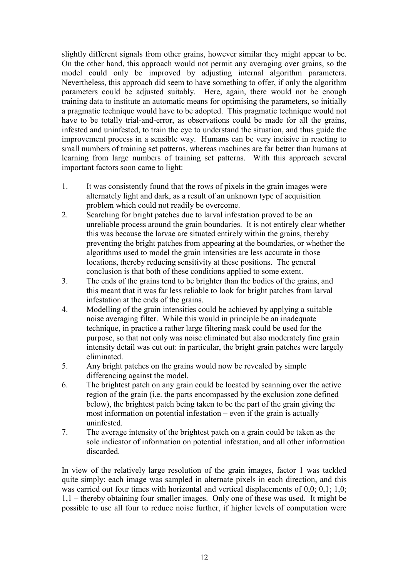slightly different signals from other grains, however similar they might appear to be. On the other hand, this approach would not permit any averaging over grains, so the model could only be improved by adjusting internal algorithm parameters. Nevertheless, this approach did seem to have something to offer, if only the algorithm parameters could be adjusted suitably. Here, again, there would not be enough training data to institute an automatic means for optimising the parameters, so initially a pragmatic technique would have to be adopted. This pragmatic technique would not have to be totally trial-and-error, as observations could be made for all the grains, infested and uninfested, to train the eye to understand the situation, and thus guide the improvement process in a sensible way. Humans can be very incisive in reacting to small numbers of training set patterns, whereas machines are far better than humans at learning from large numbers of training set patterns. With this approach several important factors soon came to light:

- 1. It was consistently found that the rows of pixels in the grain images were alternately light and dark, as a result of an unknown type of acquisition problem which could not readily be overcome.
- 2. Searching for bright patches due to larval infestation proved to be an unreliable process around the grain boundaries. It is not entirely clear whether this was because the larvae are situated entirely within the grains, thereby preventing the bright patches from appearing at the boundaries, or whether the algorithms used to model the grain intensities are less accurate in those locations, thereby reducing sensitivity at these positions. The general conclusion is that both of these conditions applied to some extent.
- 3. The ends of the grains tend to be brighter than the bodies of the grains, and this meant that it was far less reliable to look for bright patches from larval infestation at the ends of the grains.
- 4. Modelling of the grain intensities could be achieved by applying a suitable noise averaging filter. While this would in principle be an inadequate technique, in practice a rather large filtering mask could be used for the purpose, so that not only was noise eliminated but also moderately fine grain intensity detail was cut out: in particular, the bright grain patches were largely eliminated.
- 5. Any bright patches on the grains would now be revealed by simple differencing against the model.
- 6. The brightest patch on any grain could be located by scanning over the active region of the grain (i.e. the parts encompassed by the exclusion zone defined below), the brightest patch being taken to be the part of the grain giving the most information on potential infestation – even if the grain is actually uninfested.
- 7. The average intensity of the brightest patch on a grain could be taken as the sole indicator of information on potential infestation, and all other information discarded.

In view of the relatively large resolution of the grain images, factor 1 was tackled quite simply: each image was sampled in alternate pixels in each direction, and this was carried out four times with horizontal and vertical displacements of 0,0; 0,1; 1,0; 1,1 – thereby obtaining four smaller images. Only one of these was used. It might be possible to use all four to reduce noise further, if higher levels of computation were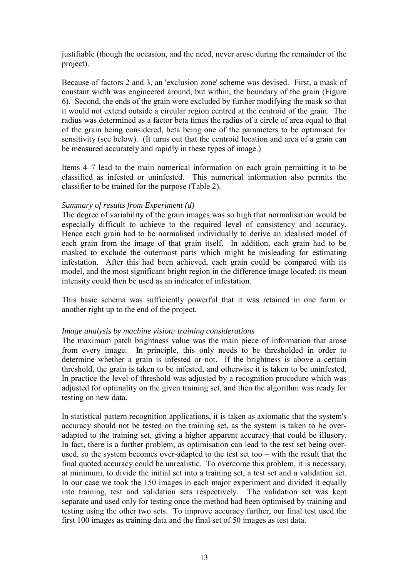justifiable (though the occasion, and the need, never arose during the remainder of the project).

Because of factors 2 and 3, an 'exclusion zone' scheme was devised. First, a mask of constant width was engineered around, but within, the boundary of the grain (Figure 6). Second, the ends of the grain were excluded by further modifying the mask so that it would not extend outside a circular region centred at the centroid of the grain. The radius was determined as a factor beta times the radius of a circle of area equal to that of the grain being considered, beta being one of the parameters to be optimised for sensitivity (see below). (It turns out that the centroid location and area of a grain can be measured accurately and rapidly in these types of image.)

Items 4–7 lead to the main numerical information on each grain permitting it to be classified as infested or uninfested. This numerical information also permits the classifier to be trained for the purpose (Table 2).

### *Summary of results from Experiment (d)*

The degree of variability of the grain images was so high that normalisation would be especially difficult to achieve to the required level of consistency and accuracy. Hence each grain had to be normalised individually to derive an idealised model of each grain from the image of that grain itself. In addition, each grain had to be masked to exclude the outermost parts which might be misleading for estimating infestation. After this had been achieved, each grain could be compared with its model, and the most significant bright region in the difference image located: its mean intensity could then be used as an indicator of infestation.

This basic schema was sufficiently powerful that it was retained in one form or another right up to the end of the project.

#### *Image analysis by machine vision: training considerations*

The maximum patch brightness value was the main piece of information that arose from every image. In principle, this only needs to be thresholded in order to determine whether a grain is infested or not. If the brightness is above a certain threshold, the grain is taken to be infested, and otherwise it is taken to be uninfested. In practice the level of threshold was adjusted by a recognition procedure which was adjusted for optimality on the given training set, and then the algorithm was ready for testing on new data.

In statistical pattern recognition applications, it is taken as axiomatic that the system's accuracy should not be tested on the training set, as the system is taken to be overadapted to the training set, giving a higher apparent accuracy that could be illusory. In fact, there is a further problem, as optimisation can lead to the test set being overused, so the system becomes over-adapted to the test set too – with the result that the final quoted accuracy could be unrealistic. To overcome this problem, it is necessary, at minimum, to divide the initial set into a training set, a test set and a validation set. In our case we took the 150 images in each major experiment and divided it equally into training, test and validation sets respectively. The validation set was kept separate and used only for testing once the method had been optimised by training and testing using the other two sets. To improve accuracy further, our final test used the first 100 images as training data and the final set of 50 images as test data.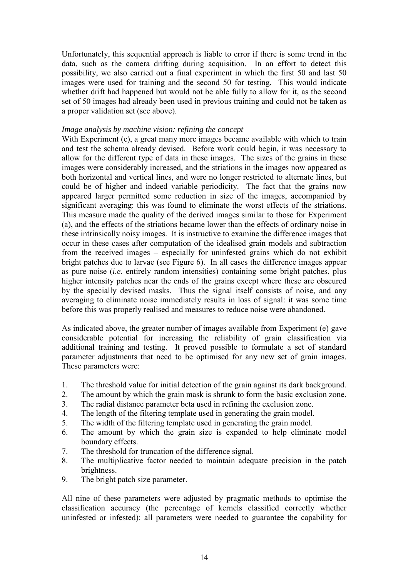Unfortunately, this sequential approach is liable to error if there is some trend in the data, such as the camera drifting during acquisition. In an effort to detect this possibility, we also carried out a final experiment in which the first 50 and last 50 images were used for training and the second 50 for testing. This would indicate whether drift had happened but would not be able fully to allow for it, as the second set of 50 images had already been used in previous training and could not be taken as a proper validation set (see above).

#### *Image analysis by machine vision: refining the concept*

With Experiment (e), a great many more images became available with which to train and test the schema already devised. Before work could begin, it was necessary to allow for the different type of data in these images. The sizes of the grains in these images were considerably increased, and the striations in the images now appeared as both horizontal and vertical lines, and were no longer restricted to alternate lines, but could be of higher and indeed variable periodicity. The fact that the grains now appeared larger permitted some reduction in size of the images, accompanied by significant averaging: this was found to eliminate the worst effects of the striations. This measure made the quality of the derived images similar to those for Experiment (a), and the effects of the striations became lower than the effects of ordinary noise in these intrinsically noisy images. It is instructive to examine the difference images that occur in these cases after computation of the idealised grain models and subtraction from the received images – especially for uninfested grains which do not exhibit bright patches due to larvae (see Figure 6). In all cases the difference images appear as pure noise (*i.e.* entirely random intensities) containing some bright patches, plus higher intensity patches near the ends of the grains except where these are obscured by the specially devised masks. Thus the signal itself consists of noise, and any averaging to eliminate noise immediately results in loss of signal: it was some time before this was properly realised and measures to reduce noise were abandoned.

As indicated above, the greater number of images available from Experiment (e) gave considerable potential for increasing the reliability of grain classification via additional training and testing. It proved possible to formulate a set of standard parameter adjustments that need to be optimised for any new set of grain images. These parameters were:

- 1. The threshold value for initial detection of the grain against its dark background.
- 2. The amount by which the grain mask is shrunk to form the basic exclusion zone.
- 3. The radial distance parameter beta used in refining the exclusion zone.
- 4. The length of the filtering template used in generating the grain model.
- 5. The width of the filtering template used in generating the grain model.
- 6. The amount by which the grain size is expanded to help eliminate model boundary effects.
- 7. The threshold for truncation of the difference signal.
- 8. The multiplicative factor needed to maintain adequate precision in the patch brightness.
- 9. The bright patch size parameter.

All nine of these parameters were adjusted by pragmatic methods to optimise the classification accuracy (the percentage of kernels classified correctly whether uninfested or infested): all parameters were needed to guarantee the capability for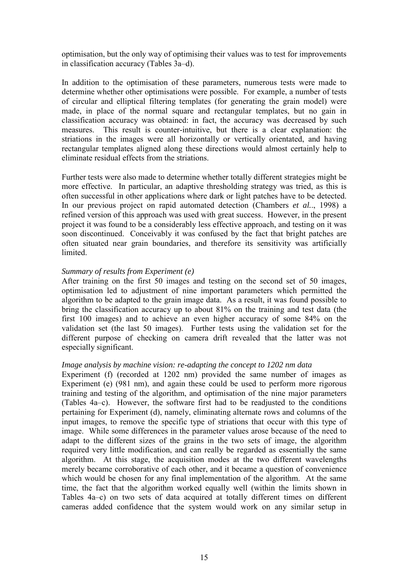optimisation, but the only way of optimising their values was to test for improvements in classification accuracy (Tables 3a–d).

In addition to the optimisation of these parameters, numerous tests were made to determine whether other optimisations were possible. For example, a number of tests of circular and elliptical filtering templates (for generating the grain model) were made, in place of the normal square and rectangular templates, but no gain in classification accuracy was obtained: in fact, the accuracy was decreased by such measures. This result is counter-intuitive, but there is a clear explanation: the striations in the images were all horizontally or vertically orientated, and having rectangular templates aligned along these directions would almost certainly help to eliminate residual effects from the striations.

Further tests were also made to determine whether totally different strategies might be more effective. In particular, an adaptive thresholding strategy was tried, as this is often successful in other applications where dark or light patches have to be detected. In our previous project on rapid automated detection (Chambers *et al.*., 1998) a refined version of this approach was used with great success. However, in the present project it was found to be a considerably less effective approach, and testing on it was soon discontinued. Conceivably it was confused by the fact that bright patches are often situated near grain boundaries, and therefore its sensitivity was artificially limited.

#### *Summary of results from Experiment (e)*

After training on the first 50 images and testing on the second set of 50 images, optimisation led to adjustment of nine important parameters which permitted the algorithm to be adapted to the grain image data. As a result, it was found possible to bring the classification accuracy up to about 81% on the training and test data (the first 100 images) and to achieve an even higher accuracy of some 84% on the validation set (the last 50 images). Further tests using the validation set for the different purpose of checking on camera drift revealed that the latter was not especially significant.

#### *Image analysis by machine vision: re-adapting the concept to 1202 nm data*

Experiment (f) (recorded at 1202 nm) provided the same number of images as Experiment (e) (981 nm), and again these could be used to perform more rigorous training and testing of the algorithm, and optimisation of the nine major parameters (Tables 4a–c). However, the software first had to be readjusted to the conditions pertaining for Experiment (d), namely, eliminating alternate rows and columns of the input images, to remove the specific type of striations that occur with this type of image. While some differences in the parameter values arose because of the need to adapt to the different sizes of the grains in the two sets of image, the algorithm required very little modification, and can really be regarded as essentially the same algorithm. At this stage, the acquisition modes at the two different wavelengths merely became corroborative of each other, and it became a question of convenience which would be chosen for any final implementation of the algorithm. At the same time, the fact that the algorithm worked equally well (within the limits shown in Tables 4a–c) on two sets of data acquired at totally different times on different cameras added confidence that the system would work on any similar setup in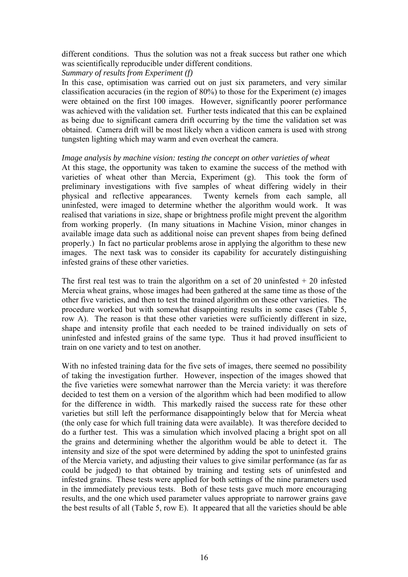different conditions. Thus the solution was not a freak success but rather one which was scientifically reproducible under different conditions.

*Summary of results from Experiment (f)*

In this case, optimisation was carried out on just six parameters, and very similar classification accuracies (in the region of 80%) to those for the Experiment (e) images were obtained on the first 100 images. However, significantly poorer performance was achieved with the validation set. Further tests indicated that this can be explained as being due to significant camera drift occurring by the time the validation set was obtained. Camera drift will be most likely when a vidicon camera is used with strong tungsten lighting which may warm and even overheat the camera.

### *Image analysis by machine vision: testing the concept on other varieties of wheat*

At this stage, the opportunity was taken to examine the success of the method with varieties of wheat other than Mercia, Experiment (g). This took the form of preliminary investigations with five samples of wheat differing widely in their physical and reflective appearances. Twenty kernels from each sample, all uninfested, were imaged to determine whether the algorithm would work. It was realised that variations in size, shape or brightness profile might prevent the algorithm from working properly. (In many situations in Machine Vision, minor changes in available image data such as additional noise can prevent shapes from being defined properly.) In fact no particular problems arose in applying the algorithm to these new images. The next task was to consider its capability for accurately distinguishing infested grains of these other varieties.

The first real test was to train the algorithm on a set of 20 uninfested  $+ 20$  infested Mercia wheat grains, whose images had been gathered at the same time as those of the other five varieties, and then to test the trained algorithm on these other varieties. The procedure worked but with somewhat disappointing results in some cases (Table 5, row A). The reason is that these other varieties were sufficiently different in size, shape and intensity profile that each needed to be trained individually on sets of uninfested and infested grains of the same type. Thus it had proved insufficient to train on one variety and to test on another.

With no infested training data for the five sets of images, there seemed no possibility of taking the investigation further. However, inspection of the images showed that the five varieties were somewhat narrower than the Mercia variety: it was therefore decided to test them on a version of the algorithm which had been modified to allow for the difference in width. This markedly raised the success rate for these other varieties but still left the performance disappointingly below that for Mercia wheat (the only case for which full training data were available). It was therefore decided to do a further test. This was a simulation which involved placing a bright spot on all the grains and determining whether the algorithm would be able to detect it. The intensity and size of the spot were determined by adding the spot to uninfested grains of the Mercia variety, and adjusting their values to give similar performance (as far as could be judged) to that obtained by training and testing sets of uninfested and infested grains. These tests were applied for both settings of the nine parameters used in the immediately previous tests. Both of these tests gave much more encouraging results, and the one which used parameter values appropriate to narrower grains gave the best results of all (Table 5, row E). It appeared that all the varieties should be able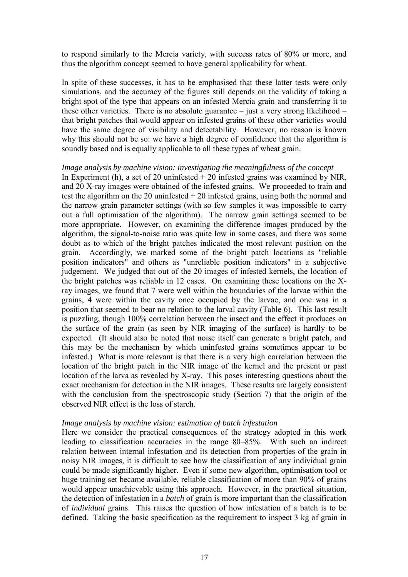to respond similarly to the Mercia variety, with success rates of 80% or more, and thus the algorithm concept seemed to have general applicability for wheat.

In spite of these successes, it has to be emphasised that these latter tests were only simulations, and the accuracy of the figures still depends on the validity of taking a bright spot of the type that appears on an infested Mercia grain and transferring it to these other varieties. There is no absolute guarantee – just a very strong likelihood – that bright patches that would appear on infested grains of these other varieties would have the same degree of visibility and detectability. However, no reason is known why this should not be so: we have a high degree of confidence that the algorithm is soundly based and is equally applicable to all these types of wheat grain.

#### *Image analysis by machine vision: investigating the meaningfulness of the concept*

In Experiment (h), a set of 20 uninfested  $+$  20 infested grains was examined by NIR, and 20 X-ray images were obtained of the infested grains. We proceeded to train and test the algorithm on the 20 uninfested  $+ 20$  infested grains, using both the normal and the narrow grain parameter settings (with so few samples it was impossible to carry out a full optimisation of the algorithm). The narrow grain settings seemed to be more appropriate. However, on examining the difference images produced by the algorithm, the signal-to-noise ratio was quite low in some cases, and there was some doubt as to which of the bright patches indicated the most relevant position on the grain. Accordingly, we marked some of the bright patch locations as "reliable position indicators" and others as "unreliable position indicators" in a subjective judgement. We judged that out of the 20 images of infested kernels, the location of the bright patches was reliable in 12 cases. On examining these locations on the Xray images, we found that 7 were well within the boundaries of the larvae within the grains, 4 were within the cavity once occupied by the larvae, and one was in a position that seemed to bear no relation to the larval cavity (Table 6). This last result is puzzling, though 100% correlation between the insect and the effect it produces on the surface of the grain (as seen by NIR imaging of the surface) is hardly to be expected. (It should also be noted that noise itself can generate a bright patch, and this may be the mechanism by which uninfested grains sometimes appear to be infested.) What is more relevant is that there is a very high correlation between the location of the bright patch in the NIR image of the kernel and the present or past location of the larva as revealed by X-ray. This poses interesting questions about the exact mechanism for detection in the NIR images. These results are largely consistent with the conclusion from the spectroscopic study (Section 7) that the origin of the observed NIR effect is the loss of starch.

#### *Image analysis by machine vision: estimation of batch infestation*

Here we consider the practical consequences of the strategy adopted in this work leading to classification accuracies in the range 80–85%. With such an indirect relation between internal infestation and its detection from properties of the grain in noisy NIR images, it is difficult to see how the classification of any individual grain could be made significantly higher. Even if some new algorithm, optimisation tool or huge training set became available, reliable classification of more than 90% of grains would appear unachievable using this approach. However, in the practical situation, the detection of infestation in a *batch* of grain is more important than the classification of *individual* grains. This raises the question of how infestation of a batch is to be defined. Taking the basic specification as the requirement to inspect 3 kg of grain in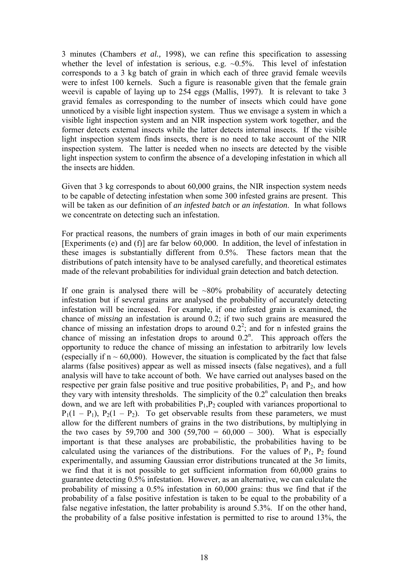3 minutes (Chambers *et al.,* 1998), we can refine this specification to assessing whether the level of infestation is serious, e.g.  $\sim 0.5\%$ . This level of infestation corresponds to a 3 kg batch of grain in which each of three gravid female weevils were to infest 100 kernels. Such a figure is reasonable given that the female grain weevil is capable of laying up to 254 eggs (Mallis, 1997). It is relevant to take 3 gravid females as corresponding to the number of insects which could have gone unnoticed by a visible light inspection system. Thus we envisage a system in which a visible light inspection system and an NIR inspection system work together, and the former detects external insects while the latter detects internal insects. If the visible light inspection system finds insects, there is no need to take account of the NIR inspection system. The latter is needed when no insects are detected by the visible light inspection system to confirm the absence of a developing infestation in which all the insects are hidden.

Given that 3 kg corresponds to about 60,000 grains, the NIR inspection system needs to be capable of detecting infestation when some 300 infested grains are present. This will be taken as our definition of *an infested batch* or *an infestation*. In what follows we concentrate on detecting such an infestation.

For practical reasons, the numbers of grain images in both of our main experiments [Experiments (e) and (f)] are far below 60,000. In addition, the level of infestation in these images is substantially different from 0.5%. These factors mean that the distributions of patch intensity have to be analysed carefully, and theoretical estimates made of the relevant probabilities for individual grain detection and batch detection.

If one grain is analysed there will be  $\sim 80\%$  probability of accurately detecting infestation but if several grains are analysed the probability of accurately detecting infestation will be increased. For example, if one infested grain is examined, the chance of *missing* an infestation is around 0.2; if two such grains are measured the chance of missing an infestation drops to around  $0.2<sup>2</sup>$ ; and for n infested grains the chance of missing an infestation drops to around  $0.2<sup>n</sup>$ . This approach offers the opportunity to reduce the chance of missing an infestation to arbitrarily low levels (especially if  $n \sim 60,000$ ). However, the situation is complicated by the fact that false alarms (false positives) appear as well as missed insects (false negatives), and a full analysis will have to take account of both. We have carried out analyses based on the respective per grain false positive and true positive probabilities,  $P_1$  and  $P_2$ , and how they vary with intensity thresholds. The simplicity of the  $0.2<sup>n</sup>$  calculation then breaks down, and we are left with probabilities  $P_1, P_2$  coupled with variances proportional to  $P_1(1 - P_1)$ ,  $P_2(1 - P_2)$ . To get observable results from these parameters, we must allow for the different numbers of grains in the two distributions, by multiplying in the two cases by 59,700 and 300 (59,700 =  $60,000 - 300$ ). What is especially important is that these analyses are probabilistic, the probabilities having to be calculated using the variances of the distributions. For the values of  $P_1$ ,  $P_2$  found experimentally, and assuming Gaussian error distributions truncated at the  $3\sigma$  limits, we find that it is not possible to get sufficient information from 60,000 grains to guarantee detecting 0.5% infestation. However, as an alternative, we can calculate the probability of missing a 0.5% infestation in 60,000 grains: thus we find that if the probability of a false positive infestation is taken to be equal to the probability of a false negative infestation, the latter probability is around 5.3%. If on the other hand, the probability of a false positive infestation is permitted to rise to around 13%, the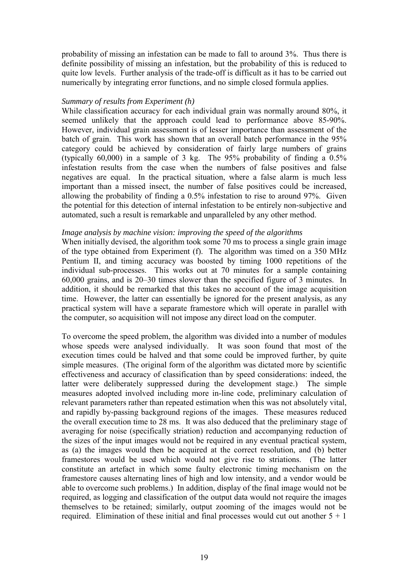probability of missing an infestation can be made to fall to around 3%. Thus there is definite possibility of missing an infestation, but the probability of this is reduced to quite low levels. Further analysis of the trade-off is difficult as it has to be carried out numerically by integrating error functions, and no simple closed formula applies.

#### *Summary of results from Experiment (h)*

While classification accuracy for each individual grain was normally around 80%, it seemed unlikely that the approach could lead to performance above 85-90%. However, individual grain assessment is of lesser importance than assessment of the batch of grain. This work has shown that an overall batch performance in the 95% category could be achieved by consideration of fairly large numbers of grains (typically 60,000) in a sample of 3 kg. The 95% probability of finding a 0.5% infestation results from the case when the numbers of false positives and false negatives are equal. In the practical situation, where a false alarm is much less important than a missed insect, the number of false positives could be increased, allowing the probability of finding a 0.5% infestation to rise to around 97%. Given the potential for this detection of internal infestation to be entirely non-subjective and automated, such a result is remarkable and unparalleled by any other method.

#### *Image analysis by machine vision: improving the speed of the algorithms*

When initially devised, the algorithm took some 70 ms to process a single grain image of the type obtained from Experiment (f). The algorithm was timed on a 350 MHz Pentium II, and timing accuracy was boosted by timing 1000 repetitions of the individual sub-processes. This works out at 70 minutes for a sample containing 60,000 grains, and is 20–30 times slower than the specified figure of 3 minutes. In addition, it should be remarked that this takes no account of the image acquisition time. However, the latter can essentially be ignored for the present analysis, as any practical system will have a separate framestore which will operate in parallel with the computer, so acquisition will not impose any direct load on the computer.

To overcome the speed problem, the algorithm was divided into a number of modules whose speeds were analysed individually. It was soon found that most of the execution times could be halved and that some could be improved further, by quite simple measures. (The original form of the algorithm was dictated more by scientific effectiveness and accuracy of classification than by speed considerations: indeed, the latter were deliberately suppressed during the development stage.) The simple measures adopted involved including more in-line code, preliminary calculation of relevant parameters rather than repeated estimation when this was not absolutely vital, and rapidly by-passing background regions of the images. These measures reduced the overall execution time to 28 ms. It was also deduced that the preliminary stage of averaging for noise (specifically striation) reduction and accompanying reduction of the sizes of the input images would not be required in any eventual practical system, as (a) the images would then be acquired at the correct resolution, and (b) better framestores would be used which would not give rise to striations. (The latter constitute an artefact in which some faulty electronic timing mechanism on the framestore causes alternating lines of high and low intensity, and a vendor would be able to overcome such problems.) In addition, display of the final image would not be required, as logging and classification of the output data would not require the images themselves to be retained; similarly, output zooming of the images would not be required. Elimination of these initial and final processes would cut out another  $5 + 1$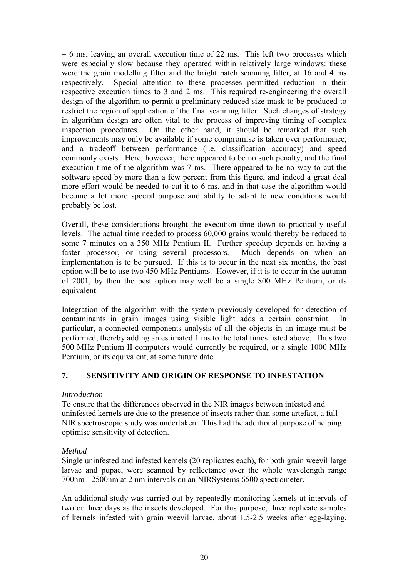$= 6$  ms, leaving an overall execution time of 22 ms. This left two processes which were especially slow because they operated within relatively large windows: these were the grain modelling filter and the bright patch scanning filter, at 16 and 4 ms respectively. Special attention to these processes permitted reduction in their respective execution times to 3 and 2 ms. This required re-engineering the overall design of the algorithm to permit a preliminary reduced size mask to be produced to restrict the region of application of the final scanning filter. Such changes of strategy in algorithm design are often vital to the process of improving timing of complex inspection procedures. On the other hand, it should be remarked that such improvements may only be available if some compromise is taken over performance, and a tradeoff between performance (i.e. classification accuracy) and speed commonly exists. Here, however, there appeared to be no such penalty, and the final execution time of the algorithm was 7 ms. There appeared to be no way to cut the software speed by more than a few percent from this figure, and indeed a great deal more effort would be needed to cut it to 6 ms, and in that case the algorithm would become a lot more special purpose and ability to adapt to new conditions would probably be lost.

Overall, these considerations brought the execution time down to practically useful levels. The actual time needed to process 60,000 grains would thereby be reduced to some 7 minutes on a 350 MHz Pentium II. Further speedup depends on having a faster processor, or using several processors. Much depends on when an implementation is to be pursued. If this is to occur in the next six months, the best option will be to use two 450 MHz Pentiums. However, if it is to occur in the autumn of 2001, by then the best option may well be a single 800 MHz Pentium, or its equivalent.

Integration of the algorithm with the system previously developed for detection of contaminants in grain images using visible light adds a certain constraint. In particular, a connected components analysis of all the objects in an image must be performed, thereby adding an estimated 1 ms to the total times listed above. Thus two 500 MHz Pentium II computers would currently be required, or a single 1000 MHz Pentium, or its equivalent, at some future date.

## **7. SENSITIVITY AND ORIGIN OF RESPONSE TO INFESTATION**

### *Introduction*

To ensure that the differences observed in the NIR images between infested and uninfested kernels are due to the presence of insects rather than some artefact, a full NIR spectroscopic study was undertaken. This had the additional purpose of helping optimise sensitivity of detection.

## *Method*

Single uninfested and infested kernels (20 replicates each), for both grain weevil large larvae and pupae, were scanned by reflectance over the whole wavelength range 700nm - 2500nm at 2 nm intervals on an NIRSystems 6500 spectrometer.

An additional study was carried out by repeatedly monitoring kernels at intervals of two or three days as the insects developed. For this purpose, three replicate samples of kernels infested with grain weevil larvae, about 1.5-2.5 weeks after egg-laying,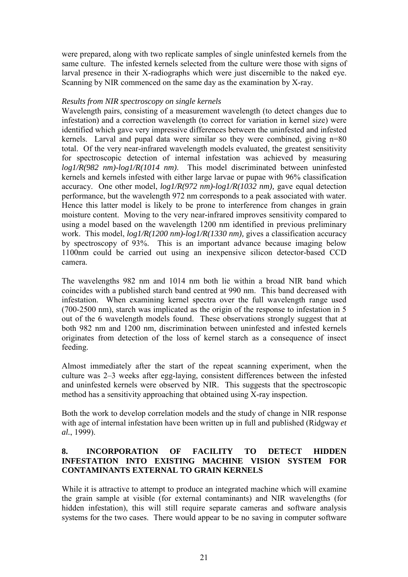were prepared, along with two replicate samples of single uninfested kernels from the same culture. The infested kernels selected from the culture were those with signs of larval presence in their X-radiographs which were just discernible to the naked eye. Scanning by NIR commenced on the same day as the examination by X-ray.

### *Results from NIR spectroscopy on single kernels*

Wavelength pairs, consisting of a measurement wavelength (to detect changes due to infestation) and a correction wavelength (to correct for variation in kernel size) were identified which gave very impressive differences between the uninfested and infested kernels. Larval and pupal data were similar so they were combined, giving n=80 total. Of the very near-infrared wavelength models evaluated, the greatest sensitivity for spectroscopic detection of internal infestation was achieved by measuring *log1/R(982 nm)-log1/R(1014 nm)*. This model discriminated between uninfested kernels and kernels infested with either large larvae or pupae with 96% classification accuracy. One other model, *log1/R(972 nm)-log1/R(1032 nm),* gave equal detection performance, but the wavelength 972 nm corresponds to a peak associated with water. Hence this latter model is likely to be prone to interference from changes in grain moisture content. Moving to the very near-infrared improves sensitivity compared to using a model based on the wavelength 1200 nm identified in previous preliminary work. This model, *log1/R(1200 nm)-log1/R(1330 nm),* gives a classification accuracy by spectroscopy of 93%. This is an important advance because imaging below 1100nm could be carried out using an inexpensive silicon detector-based CCD camera.

The wavelengths 982 nm and 1014 nm both lie within a broad NIR band which coincides with a published starch band centred at 990 nm. This band decreased with infestation. When examining kernel spectra over the full wavelength range used (700-2500 nm), starch was implicated as the origin of the response to infestation in 5 out of the 6 wavelength models found. These observations strongly suggest that at both 982 nm and 1200 nm, discrimination between uninfested and infested kernels originates from detection of the loss of kernel starch as a consequence of insect feeding.

Almost immediately after the start of the repeat scanning experiment, when the culture was 2–3 weeks after egg-laying, consistent differences between the infested and uninfested kernels were observed by NIR. This suggests that the spectroscopic method has a sensitivity approaching that obtained using X-ray inspection.

Both the work to develop correlation models and the study of change in NIR response with age of internal infestation have been written up in full and published (Ridgway *et al.*, 1999).

# **8. INCORPORATION OF FACILITY TO DETECT HIDDEN INFESTATION INTO EXISTING MACHINE VISION SYSTEM FOR CONTAMINANTS EXTERNAL TO GRAIN KERNELS**

While it is attractive to attempt to produce an integrated machine which will examine the grain sample at visible (for external contaminants) and NIR wavelengths (for hidden infestation), this will still require separate cameras and software analysis systems for the two cases. There would appear to be no saving in computer software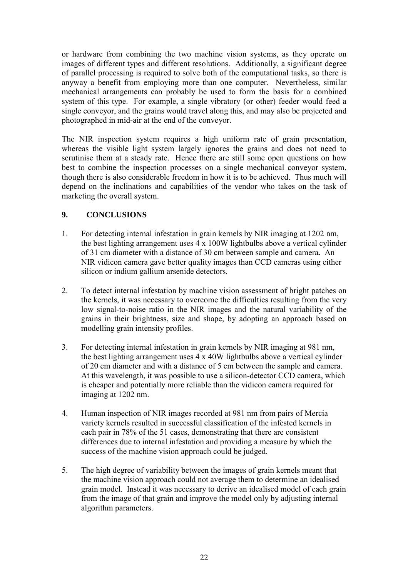or hardware from combining the two machine vision systems, as they operate on images of different types and different resolutions. Additionally, a significant degree of parallel processing is required to solve both of the computational tasks, so there is anyway a benefit from employing more than one computer. Nevertheless, similar mechanical arrangements can probably be used to form the basis for a combined system of this type. For example, a single vibratory (or other) feeder would feed a single conveyor, and the grains would travel along this, and may also be projected and photographed in mid-air at the end of the conveyor.

The NIR inspection system requires a high uniform rate of grain presentation, whereas the visible light system largely ignores the grains and does not need to scrutinise them at a steady rate. Hence there are still some open questions on how best to combine the inspection processes on a single mechanical conveyor system, though there is also considerable freedom in how it is to be achieved. Thus much will depend on the inclinations and capabilities of the vendor who takes on the task of marketing the overall system.

# **9. CONCLUSIONS**

- 1. For detecting internal infestation in grain kernels by NIR imaging at 1202 nm, the best lighting arrangement uses 4 x 100W lightbulbs above a vertical cylinder of 31 cm diameter with a distance of 30 cm between sample and camera. An NIR vidicon camera gave better quality images than CCD cameras using either silicon or indium gallium arsenide detectors.
- 2. To detect internal infestation by machine vision assessment of bright patches on the kernels, it was necessary to overcome the difficulties resulting from the very low signal-to-noise ratio in the NIR images and the natural variability of the grains in their brightness, size and shape, by adopting an approach based on modelling grain intensity profiles.
- 3. For detecting internal infestation in grain kernels by NIR imaging at 981 nm, the best lighting arrangement uses  $4 \times 40W$  lightbulbs above a vertical cylinder of 20 cm diameter and with a distance of 5 cm between the sample and camera. At this wavelength, it was possible to use a silicon-detector CCD camera, which is cheaper and potentially more reliable than the vidicon camera required for imaging at 1202 nm.
- 4. Human inspection of NIR images recorded at 981 nm from pairs of Mercia variety kernels resulted in successful classification of the infested kernels in each pair in 78% of the 51 cases, demonstrating that there are consistent differences due to internal infestation and providing a measure by which the success of the machine vision approach could be judged.
- 5. The high degree of variability between the images of grain kernels meant that the machine vision approach could not average them to determine an idealised grain model. Instead it was necessary to derive an idealised model of each grain from the image of that grain and improve the model only by adjusting internal algorithm parameters.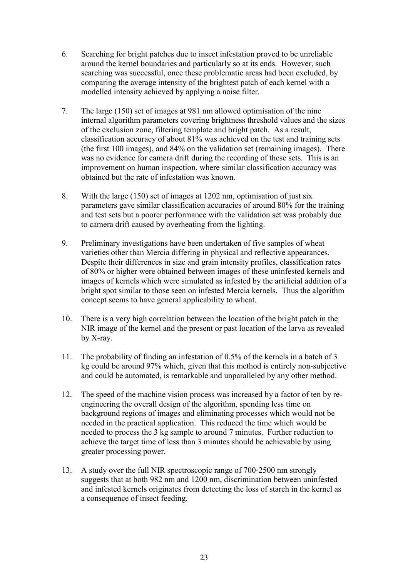- 6. Searching for bright patches due to insect infestation proved to be unreliable around the kernel boundaries and particularly so at its ends. However, such searching was successful, once these problematic areas had been excluded, by comparing the average intensity of the brightest patch of each kernel with a modelled intensity achieved by applying a noise filter.
- 7. The large (150) set of images at 981 nm allowed optimisation of the nine internal algorithm parameters covering brightness threshold values and the sizes of the exclusion zone, filtering template and bright patch. As a result, classification accuracy of about 81% was achieved on the test and training sets (the first 100 images), and 84% on the validation set (remaining images). There was no evidence for camera drift during the recording of these sets. This is an improvement on human inspection, where similar classification accuracy was obtained but the rate of infestation was known.
- 8. With the large (150) set of images at 1202 nm, optimisation of just six parameters gave similar classification accuracies of around 80% for the training and test sets but a poorer performance with the validation set was probably due to camera drift caused by overheating from the lighting.
- 9. Preliminary investigations have been undertaken of five samples of wheat varieties other than Mercia differing in physical and reflective appearances. Despite their differences in size and grain intensity profiles, classification rates of 80% or higher were obtained between images of these uninfested kernels and images of kernels which were simulated as infested by the artificial addition of a bright spot similar to those seen on infested Mercia kernels. Thus the algorithm concept seems to have general applicability to wheat.
- 10. There is a very high correlation between the location of the bright patch in the NIR image of the kernel and the present or past location of the larva as revealed by X-ray.
- 11. The probability of finding an infestation of 0.5% of the kernels in a batch of 3 kg could be around 97% which, given that this method is entirely non-subjective and could be automated, is remarkable and unparalleled by any other method.
- 12. The speed of the machine vision process was increased by a factor of ten by reengineering the overall design of the algorithm, spending less time on background regions of images and eliminating processes which would not be needed in the practical application. This reduced the time which would be needed to process the 3 kg sample to around 7 minutes. Further reduction to achieve the target time of less than 3 minutes should be achievable by using greater processing power.
- 13. A study over the full NIR spectroscopic range of 700-2500 nm strongly suggests that at both 982 nm and 1200 nm, discrimination between uninfested and infested kernels originates from detecting the loss of starch in the kernel as a consequence of insect feeding.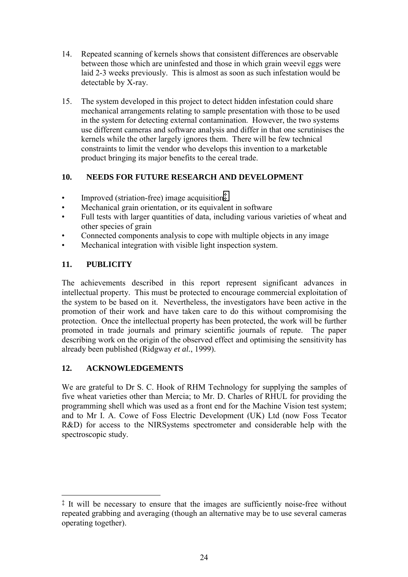- 14. Repeated scanning of kernels shows that consistent differences are observable between those which are uninfested and those in which grain weevil eggs were laid 2-3 weeks previously. This is almost as soon as such infestation would be detectable by X-ray.
- 15. The system developed in this project to detect hidden infestation could share mechanical arrangements relating to sample presentation with those to be used in the system for detecting external contamination. However, the two systems use different cameras and software analysis and differ in that one scrutinises the kernels while the other largely ignores them. There will be few technical constraints to limit the vendor who develops this invention to a marketable product bringing its major benefits to the cereal trade.

# **10. NEEDS FOR FUTURE RESEARCH AND DEVELOPMENT**

- Improved (striation-free) image acquisition $\ddot{\ddot{\cdot}}$
- Mechanical grain orientation, or its equivalent in software
- Full tests with larger quantities of data, including various varieties of wheat and other species of grain
- Connected components analysis to cope with multiple objects in any image
- Mechanical integration with visible light inspection system.

# **11. PUBLICITY**

 $\overline{a}$ 

The achievements described in this report represent significant advances in intellectual property. This must be protected to encourage commercial exploitation of the system to be based on it. Nevertheless, the investigators have been active in the promotion of their work and have taken care to do this without compromising the protection. Once the intellectual property has been protected, the work will be further promoted in trade journals and primary scientific journals of repute. The paper describing work on the origin of the observed effect and optimising the sensitivity has already been published (Ridgway *et al.*, 1999).

# **12. ACKNOWLEDGEMENTS**

We are grateful to Dr S. C. Hook of RHM Technology for supplying the samples of five wheat varieties other than Mercia; to Mr. D. Charles of RHUL for providing the programming shell which was used as a front end for the Machine Vision test system; and to Mr I. A. Cowe of Foss Electric Development (UK) Ltd (now Foss Tecator R&D) for access to the NIRSystems spectrometer and considerable help with the spectroscopic study.

<sup>‡</sup> It will be necessary to ensure that the images are sufficiently noise-free without repeated grabbing and averaging (though an alternative may be to use several cameras operating together).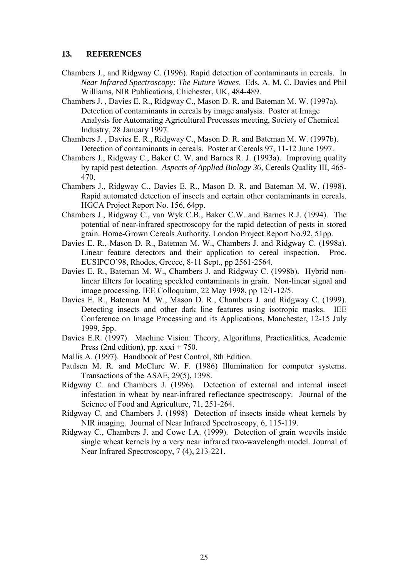### **13. REFERENCES**

- Chambers J., and Ridgway C. (1996). Rapid detection of contaminants in cereals. In *Near Infrared Spectroscopy: The Future Waves*. Eds. A. M. C. Davies and Phil Williams, NIR Publications, Chichester, UK, 484-489.
- Chambers J. , Davies E. R., Ridgway C., Mason D. R. and Bateman M. W. (1997a). Detection of contaminants in cereals by image analysis. Poster at Image Analysis for Automating Agricultural Processes meeting, Society of Chemical Industry, 28 January 1997.
- Chambers J. , Davies E. R., Ridgway C., Mason D. R. and Bateman M. W. (1997b). Detection of contaminants in cereals. Poster at Cereals 97, 11-12 June 1997.
- Chambers J., Ridgway C., Baker C. W. and Barnes R. J. (1993a). Improving quality by rapid pest detection. *Aspects of Applied Biology 36*, Cereals Quality III, 465- 470.
- Chambers J., Ridgway C., Davies E. R., Mason D. R. and Bateman M. W. (1998). Rapid automated detection of insects and certain other contaminants in cereals. HGCA Project Report No. 156, 64pp.
- Chambers J., Ridgway C., van Wyk C.B., Baker C.W. and Barnes R.J. (1994). The potential of near-infrared spectroscopy for the rapid detection of pests in stored grain. Home-Grown Cereals Authority, London Project Report No.92, 51pp.
- Davies E. R., Mason D. R., Bateman M. W., Chambers J. and Ridgway C. (1998a). Linear feature detectors and their application to cereal inspection. Proc. EUSIPCO'98, Rhodes, Greece, 8-11 Sept., pp 2561-2564.
- Davies E. R., Bateman M. W., Chambers J. and Ridgway C. (1998b). Hybrid nonlinear filters for locating speckled contaminants in grain. Non-linear signal and image processing, IEE Colloquium, 22 May 1998, pp 12/1-12/5.
- Davies E. R., Bateman M. W., Mason D. R., Chambers J. and Ridgway C. (1999). Detecting insects and other dark line features using isotropic masks. IEE Conference on Image Processing and its Applications, Manchester, 12-15 July 1999, 5pp.
- Davies E.R. (1997). Machine Vision: Theory, Algorithms, Practicalities, Academic Press (2nd edition), pp.  $xxxi + 750$ .
- Mallis A. (1997). Handbook of Pest Control, 8th Edition.
- Paulsen M. R. and McClure W. F. (1986) Illumination for computer systems. Transactions of the ASAE, 29(5), 1398.
- Ridgway C. and Chambers J. (1996). Detection of external and internal insect infestation in wheat by near-infrared reflectance spectroscopy. Journal of the Science of Food and Agriculture, 71, 251-264.
- Ridgway C. and Chambers J. (1998) Detection of insects inside wheat kernels by NIR imaging. Journal of Near Infrared Spectroscopy, 6, 115-119.
- Ridgway C., Chambers J. and Cowe I.A. (1999). Detection of grain weevils inside single wheat kernels by a very near infrared two-wavelength model. Journal of Near Infrared Spectroscopy, 7 (4), 213-221.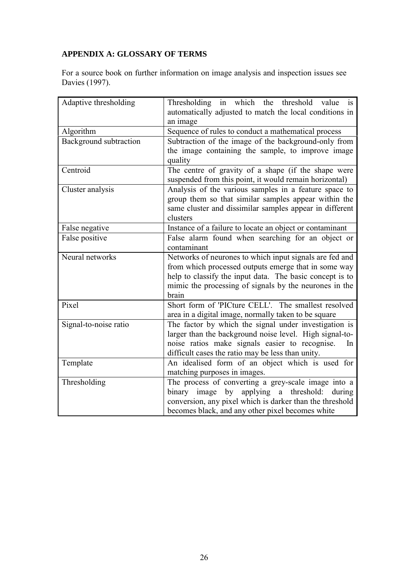# **APPENDIX A: GLOSSARY OF TERMS**

For a source book on further information on image analysis and inspection issues see Davies (1997).

| Adaptive thresholding  | Thresholding in which the threshold value<br>is<br>automatically adjusted to match the local conditions in<br>an image                                                                                                                         |  |  |  |  |  |
|------------------------|------------------------------------------------------------------------------------------------------------------------------------------------------------------------------------------------------------------------------------------------|--|--|--|--|--|
| Algorithm              | Sequence of rules to conduct a mathematical process                                                                                                                                                                                            |  |  |  |  |  |
| Background subtraction | Subtraction of the image of the background-only from<br>the image containing the sample, to improve image<br>quality                                                                                                                           |  |  |  |  |  |
| Centroid               | The centre of gravity of a shape (if the shape were<br>suspended from this point, it would remain horizontal)                                                                                                                                  |  |  |  |  |  |
| Cluster analysis       | Analysis of the various samples in a feature space to<br>group them so that similar samples appear within the<br>same cluster and dissimilar samples appear in different<br>clusters                                                           |  |  |  |  |  |
| False negative         | Instance of a failure to locate an object or contaminant                                                                                                                                                                                       |  |  |  |  |  |
| False positive         | False alarm found when searching for an object or<br>contaminant                                                                                                                                                                               |  |  |  |  |  |
| Neural networks        | Networks of neurones to which input signals are fed and<br>from which processed outputs emerge that in some way<br>help to classify the input data. The basic concept is to<br>mimic the processing of signals by the neurones in the<br>brain |  |  |  |  |  |
| Pixel                  | Short form of 'PICture CELL'. The smallest resolved<br>area in a digital image, normally taken to be square                                                                                                                                    |  |  |  |  |  |
| Signal-to-noise ratio  | The factor by which the signal under investigation is<br>larger than the background noise level. High signal-to-<br>noise ratios make signals easier to recognise.<br>In<br>difficult cases the ratio may be less than unity.                  |  |  |  |  |  |
| Template               | An idealised form of an object which is used for<br>matching purposes in images.                                                                                                                                                               |  |  |  |  |  |
| Thresholding           | The process of converting a grey-scale image into a<br>binary image by applying a threshold: during<br>conversion, any pixel which is darker than the threshold<br>becomes black, and any other pixel becomes white                            |  |  |  |  |  |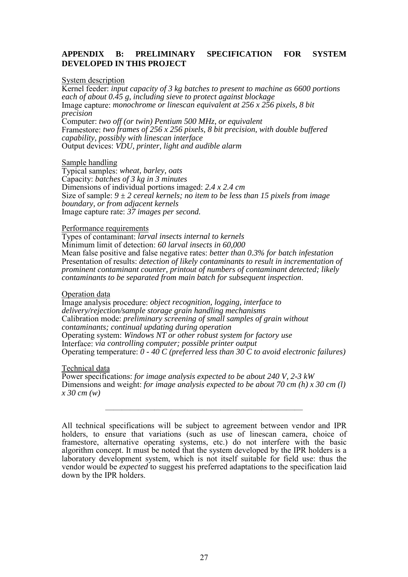### **APPENDIX B: PRELIMINARY SPECIFICATION FOR SYSTEM DEVELOPED IN THIS PROJECT**

### System description

Kernel feeder: *input capacity of 3 kg batches to present to machine as 6600 portions each of about 0.45 g, including sieve to protect against blockage* Image capture: *monochrome or linescan equivalent at 256 x 256 pixels, 8 bit precision* Computer: *two off (or twin) Pentium 500 MHz, or equivalent* Framestore: *two frames of 256 x 256 pixels, 8 bit precision, with double buffered capability, possibly with linescan interface* Output devices: *VDU, printer, light and audible alarm*

#### Sample handling

Typical samples: *wheat, barley, oats* Capacity: *batches of 3 kg in 3 minutes* Dimensions of individual portions imaged: *2.4 x 2.4 cm* Size of sample: *9 ± 2 cereal kernels; no item to be less than 15 pixels from image boundary, or from adjacent kernels* Image capture rate: *37 images per second.*

#### Performance requirements

Types of contaminant: *larval insects internal to kernels* Minimum limit of detection: *60 larval insects in 60,000* Mean false positive and false negative rates: *better than 0.3% for batch infestation* Presentation of results: *detection of likely contaminants to result in incrementation of prominent contaminant counter, printout of numbers of contaminant detected; likely contaminants to be separated from main batch for subsequent inspection*.

#### Operation data

Image analysis procedure: *object recognition, logging, interface to delivery/rejection/sample storage grain handling mechanisms* Calibration mode: *preliminary screening of small samples of grain without contaminants; continual updating during operation* Operating system: *Windows NT or other robust system for factory use* Interface: *via controlling computer; possible printer output* Operating temperature: *0 - 40 C (preferred less than 30 C to avoid electronic failures)*

#### Technical data

Power specifications: *for image analysis expected to be about 240 V, 2-3 kW* Dimensions and weight: *for image analysis expected to be about 70 cm (h) x 30 cm (l) x 30 cm (w)*

————————————————————————

All technical specifications will be subject to agreement between vendor and IPR holders, to ensure that variations (such as use of linescan camera, choice of framestore, alternative operating systems, etc.) do not interfere with the basic algorithm concept. It must be noted that the system developed by the IPR holders is a laboratory development system, which is not itself suitable for field use: thus the vendor would be *expected* to suggest his preferred adaptations to the specification laid down by the IPR holders.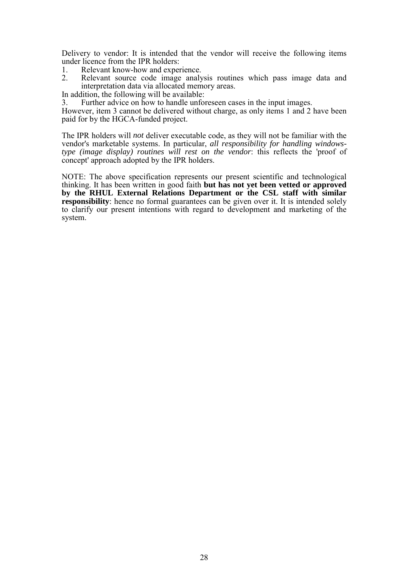Delivery to vendor: It is intended that the vendor will receive the following items under licence from the IPR holders:

- 1. Relevant know-how and experience.
- 2. Relevant source code image analysis routines which pass image data and interpretation data via allocated memory areas.
- In addition, the following will be available:

3. Further advice on how to handle unforeseen cases in the input images.

However, item 3 cannot be delivered without charge, as only items 1 and 2 have been paid for by the HGCA-funded project.

The IPR holders will *not* deliver executable code, as they will not be familiar with the vendor's marketable systems. In particular, *all responsibility for handling windowstype (image display) routines will rest on the vendor*: this reflects the 'proof of concept' approach adopted by the IPR holders.

NOTE: The above specification represents our present scientific and technological thinking. It has been written in good faith **but has not yet been vetted or approved by the RHUL External Relations Department or the CSL staff with similar responsibility**: hence no formal guarantees can be given over it. It is intended solely to clarify our present intentions with regard to development and marketing of the system.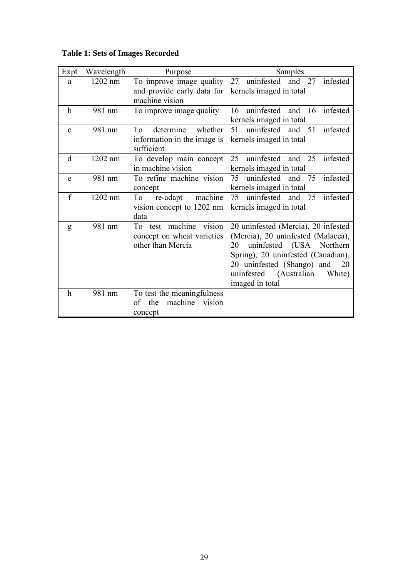# **Table 1: Sets of Images Recorded**

| Expt         | Wavelength | Purpose                                | Samples                             |
|--------------|------------|----------------------------------------|-------------------------------------|
| a            | 1202 nm    | To improve image quality               | 27 uninfested and 27 infested       |
|              |            | and provide early data for             | kernels imaged in total             |
|              |            | machine vision                         |                                     |
| $\mathbf b$  | 981 nm     | To improve image quality               | infested<br>16 uninfested and 16    |
|              |            |                                        | kernels imaged in total             |
| $\mathbf{c}$ | 981 nm     | determine<br>T <sub>o</sub><br>whether | infested<br>51<br>uninfested and 51 |
|              |            | information in the image is            | kernels imaged in total             |
|              |            | sufficient                             |                                     |
| d            | 1202 nm    | To develop main concept                | 25<br>uninfested and 25<br>infested |
|              |            | in machine vision                      | kernels imaged in total             |
| e            | 981 nm     | To refine machine vision               | uninfested and 75<br>infested<br>75 |
|              |            | concept                                | kernels imaged in total             |
| f            | 1202 nm    | machine<br>re-adapt<br>To              | infested<br>uninfested and 75<br>75 |
|              |            | vision concept to 1202 nm              | kernels imaged in total             |
|              |            | data                                   |                                     |
| g            | 981 nm     | To test machine vision                 | 20 uninfested (Mercia), 20 infested |
|              |            | concept on wheat varieties             | (Mercia), 20 uninfested (Malacca),  |
|              |            | other than Mercia                      | uninfested (USA Northern<br>20      |
|              |            |                                        | Spring), 20 uninfested (Canadian),  |
|              |            |                                        | 20 uninfested (Shango) and 20       |
|              |            |                                        | uninfested (Australian<br>White)    |
|              |            |                                        | imaged in total                     |
| $\mathbf h$  | 981 nm     | To test the meaningfulness             |                                     |
|              |            | machine<br>vision<br>the<br>of         |                                     |
|              |            | concept                                |                                     |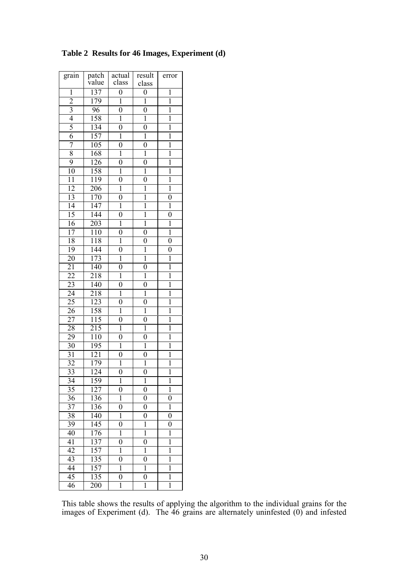| grain           | patch<br>value   | actual<br>class  | result<br>class           | error            |
|-----------------|------------------|------------------|---------------------------|------------------|
| 1               | 137              | $\overline{0}$   | $\overline{0}$            | 1                |
| $\overline{2}$  | 179              | $\overline{1}$   | $\overline{1}$            | $\overline{1}$   |
| $\overline{3}$  | 96               | $\overline{0}$   | $\overline{0}$            | $\mathbf{1}$     |
| $\overline{4}$  | 158              | $\overline{1}$   | $\overline{1}$            | $\overline{1}$   |
| $\overline{5}$  | 134              | $\overline{0}$   | $\overline{0}$            | $\overline{1}$   |
| $\overline{6}$  | 157              | $\overline{1}$   | $\overline{1}$            | $\overline{1}$   |
| 7               | 105              | $\boldsymbol{0}$ | $\overline{0}$            | $\mathbf{1}$     |
| $\overline{8}$  | 168              | Ī                | $\overline{1}$            | Ī                |
| $\overline{9}$  | 126              | $\overline{0}$   | $\overline{0}$            | $\overline{1}$   |
| 10              | 158              | $\overline{1}$   | $\overline{1}$            | ī                |
| $\overline{11}$ | 119              | $\overline{0}$   | $\overline{0}$            | $\overline{1}$   |
| $\overline{12}$ | 206              | $\overline{1}$   | $\overline{\mathfrak{l}}$ | $\overline{1}$   |
| 13              | 170              | $\overline{0}$   | $\overline{1}$            | $\overline{0}$   |
| $\overline{14}$ | 147              | Ī                | $\overline{1}$            | $\overline{1}$   |
| 15              | 144              | $\overline{0}$   | $\overline{1}$            | $\boldsymbol{0}$ |
| $\overline{16}$ | 203              | $\overline{1}$   | $\overline{1}$            | $\overline{1}$   |
| $\overline{17}$ | 110              | $\boldsymbol{0}$ | $\overline{0}$            | $\overline{1}$   |
| 18              | 118              | $\overline{1}$   | $\overline{0}$            | $\overline{0}$   |
| 19              | 144              | $\overline{0}$   | $\overline{1}$            | $\overline{0}$   |
| 20              | 173              | $\overline{1}$   | $\overline{1}$            | $\overline{1}$   |
| $\overline{21}$ | 140              | $\boldsymbol{0}$ | $\boldsymbol{0}$          | $\mathbf 1$      |
| $\overline{22}$ | 218              | $\overline{1}$   | $\overline{1}$            | $\overline{1}$   |
| 23              | 140              | $\boldsymbol{0}$ | $\overline{0}$            | $\mathbf{1}$     |
| $\overline{24}$ | 218              | $\overline{1}$   | $\overline{1}$            | $\overline{1}$   |
| $\overline{25}$ | 123              | $\boldsymbol{0}$ | $\boldsymbol{0}$          | $\overline{1}$   |
| 26              | 158              | Ī                | $\overline{1}$            | ī                |
| $\overline{27}$ | 115              | $\overline{0}$   | $\overline{0}$            | $\overline{1}$   |
| 28              | 215              | $\overline{1}$   | $\overline{1}$            | ī                |
| 29              | 110              | $\boldsymbol{0}$ | $\overline{0}$            | $\mathbf{1}$     |
| $\overline{30}$ | 195              | $\overline{1}$   | $\overline{1}$            | $\overline{1}$   |
| $\overline{31}$ | $\overline{121}$ | $\overline{0}$   | $\overline{0}$            | $\overline{1}$   |
| 32              | 179              | $\overline{1}$   | $\overline{1}$            | $\overline{1}$   |
| $\overline{33}$ | 124              | $\overline{0}$   | $\overline{0}$            | $\overline{1}$   |
| 34              | 159              | 1                | $\mathbf{1}$              | 1                |
| $\overline{35}$ | $\overline{127}$ | $\overline{0}$   | $\overline{0}$            | $\overline{1}$   |
| $\overline{36}$ | 136              | $\overline{1}$   | $\overline{0}$            | $\overline{0}$   |
| $\overline{37}$ | 136              | $\boldsymbol{0}$ | $\overline{0}$            | $\mathbf{1}$     |
| 38              | 140              | $\overline{1}$   | $\overline{0}$            | $\boldsymbol{0}$ |
| 39              | 145              | $\boldsymbol{0}$ | $\overline{1}$            | $\boldsymbol{0}$ |
| 40              | 176              | $\overline{1}$   | $\overline{1}$            | ī                |
| 41              | 137              | $\boldsymbol{0}$ | $\boldsymbol{0}$          | $\mathbf{1}$     |
| $\overline{42}$ | 157              | $\overline{1}$   | $\overline{1}$            | $\overline{1}$   |
| $\overline{43}$ | 135              | $\overline{0}$   | $\overline{0}$            | $\mathbf{1}$     |
| 44              | 157              | $\overline{1}$   | $\overline{1}$            | $\overline{1}$   |
| 45              | 135              | $\boldsymbol{0}$ | $\boldsymbol{0}$          | $\mathbf{1}$     |
| 46              | 200              | $\overline{1}$   | $\overline{1}$            | $\overline{1}$   |

# **Table 2 Results for 46 Images, Experiment (d)**

This table shows the results of applying the algorithm to the individual grains for the images of Experiment (d). The 46 grains are alternately uninfested (0) and infested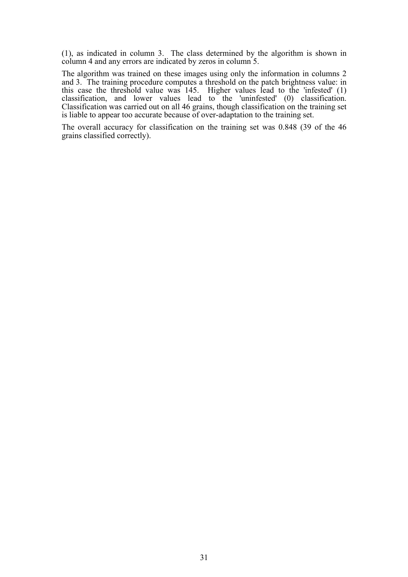(1), as indicated in column 3. The class determined by the algorithm is shown in column 4 and any errors are indicated by zeros in column 5.

The algorithm was trained on these images using only the information in columns 2 and 3. The training procedure computes a threshold on the patch brightness value: in this case the threshold value was 145. Higher values lead to the 'infested' (1) classification, and lower values lead to the 'uninfested' (0) classification. Classification was carried out on all 46 grains, though classification on the training set is liable to appear too accurate because of over-adaptation to the training set.

The overall accuracy for classification on the training set was 0.848 (39 of the 46 grains classified correctly).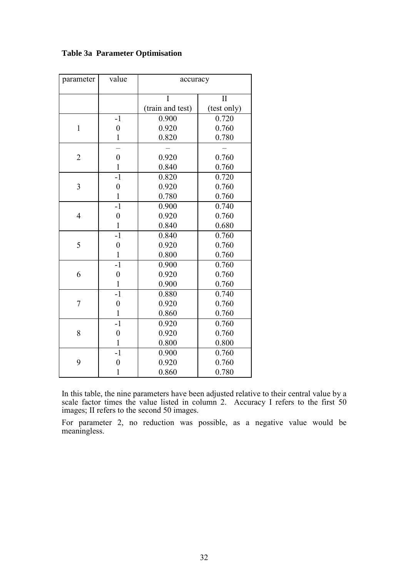| parameter      | value          | accuracy         |                     |  |  |
|----------------|----------------|------------------|---------------------|--|--|
|                |                | I                | $\overline{\rm II}$ |  |  |
|                |                | (train and test) | (test only)         |  |  |
|                | $-1$           | 0.900            | 0.720               |  |  |
| $\mathbf{1}$   | $\overline{0}$ | 0.920            | 0.760               |  |  |
|                | $\mathbf{1}$   | 0.820            | 0.780               |  |  |
|                |                |                  |                     |  |  |
| $\overline{2}$ | $\overline{0}$ | 0.920            | 0.760               |  |  |
|                | $\mathbf{1}$   | 0.840            | 0.760               |  |  |
|                | $-1$           | 0.820            | 0.720               |  |  |
| 3              | $\overline{0}$ | 0.920            | 0.760               |  |  |
|                | $\mathbf{1}$   | 0.780            | 0.760               |  |  |
|                | $-1$           | 0.900            | 0.740               |  |  |
| $\overline{4}$ | $\overline{0}$ | 0.920            | 0.760               |  |  |
|                | $\mathbf{1}$   | 0.840            | 0.680               |  |  |
|                | $-1$           | 0.840            | 0.760               |  |  |
| 5              | $\overline{0}$ | 0.920            | 0.760               |  |  |
|                | $\mathbf{1}$   | 0.800            | 0.760               |  |  |
|                | $-1$           | 0.900            | 0.760               |  |  |
| 6              | $\overline{0}$ | 0.920            | 0.760               |  |  |
|                | $\mathbf{1}$   | 0.900            | 0.760               |  |  |
|                | $-1$           | 0.880            | 0.740               |  |  |
| 7              | $\overline{0}$ | 0.920            | 0.760               |  |  |
|                | $\mathbf{1}$   | 0.860            | 0.760               |  |  |
|                | $-1$           | 0.920            | 0.760               |  |  |
| 8              | $\overline{0}$ | 0.920            | 0.760               |  |  |
|                | $\mathbf{1}$   | 0.800            | 0.800               |  |  |
|                | $-1$           | 0.900            | 0.760               |  |  |
| 9              | $\overline{0}$ | 0.920            | 0.760               |  |  |
|                | 1              | 0.860            | 0.780               |  |  |

# **Table 3a Parameter Optimisation**

In this table, the nine parameters have been adjusted relative to their central value by a scale factor times the value listed in column 2. Accuracy I refers to the first 50 images; II refers to the second 50 images.

For parameter 2, no reduction was possible, as a negative value would be meaningless.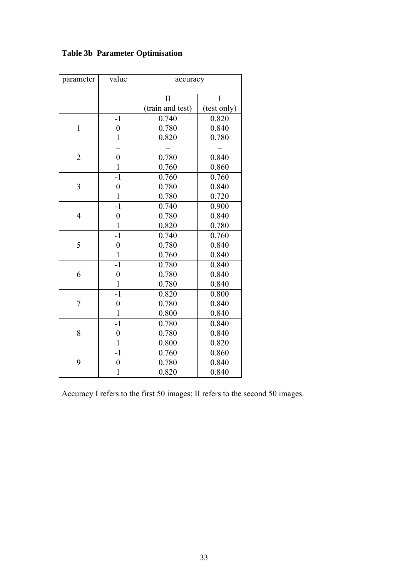| parameter      | value            | accuracy         |             |  |
|----------------|------------------|------------------|-------------|--|
|                |                  | $\overline{\Pi}$ | I           |  |
|                |                  | (train and test) | (test only) |  |
|                | $-1$             | 0.740            | 0.820       |  |
| $\mathbf{1}$   | $\overline{0}$   | 0.780            | 0.840       |  |
|                | $\mathbf{1}$     | 0.820            | 0.780       |  |
|                |                  |                  |             |  |
| $\overline{2}$ | $\overline{0}$   | 0.780            | 0.840       |  |
|                | $\mathbf{1}$     | 0.760            | 0.860       |  |
|                | $-1$             | 0.760            | 0.760       |  |
| 3              | $\boldsymbol{0}$ | 0.780            | 0.840       |  |
|                | $\mathbf{1}$     | 0.780            | 0.720       |  |
|                | $-1$             | 0.740            | 0.900       |  |
| $\overline{4}$ | $\boldsymbol{0}$ | 0.780            | 0.840       |  |
|                | $\mathbf{1}$     | 0.820            | 0.780       |  |
|                | $-1$             | 0.740            | 0.760       |  |
| 5              | $\overline{0}$   | 0.780            | 0.840       |  |
|                | $\mathbf{1}$     | 0.760            | 0.840       |  |
|                | $-1$             | 0.780            | 0.840       |  |
| 6              | $\overline{0}$   | 0.780            | 0.840       |  |
|                | $\mathbf{1}$     | 0.780            | 0.840       |  |
|                | $-1$             | 0.820            | 0.800       |  |
| $\overline{7}$ | $\overline{0}$   | 0.780            | 0.840       |  |
|                | $\mathbf{1}$     | 0.800            | 0.840       |  |
|                | $-1$             | 0.780            | 0.840       |  |
| 8              | $\overline{0}$   | 0.780            | 0.840       |  |
|                | $\mathbf{1}$     | 0.800            | 0.820       |  |
|                | $-1$             | 0.760            | 0.860       |  |
| 9              | $\overline{0}$   | 0.780            | 0.840       |  |
|                | 1                | 0.820            | 0.840       |  |

**Table 3b Parameter Optimisation**

Accuracy I refers to the first 50 images; II refers to the second 50 images.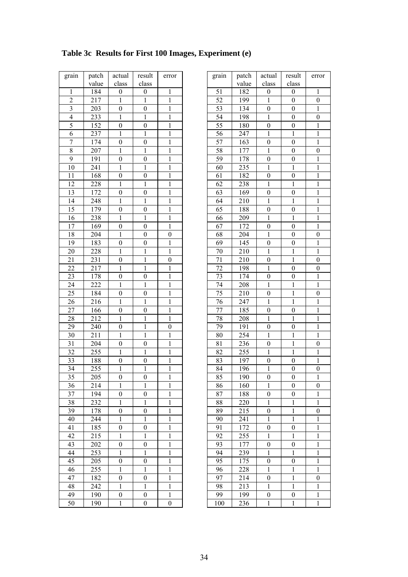| grain           | patch | actual           | result           | error            | grain | patch | actual           | result           | err              |
|-----------------|-------|------------------|------------------|------------------|-------|-------|------------------|------------------|------------------|
|                 | value | class            | class            |                  |       | value | class            | class            |                  |
| 1               | 184   | $\boldsymbol{0}$ | $\boldsymbol{0}$ | 1                | 51    | 182   | $\boldsymbol{0}$ | $\boldsymbol{0}$ | $\mathbf{1}$     |
| $\overline{2}$  | 217   | 1                | 1                | 1                | 52    | 199   | 1                | $\boldsymbol{0}$ | $\boldsymbol{0}$ |
| $\mathfrak{Z}$  | 203   | $\boldsymbol{0}$ | $\boldsymbol{0}$ | 1                | 53    | 134   | $\boldsymbol{0}$ | $\boldsymbol{0}$ | $\mathbf{1}$     |
| $\overline{4}$  | 233   | 1                | 1                | 1                | 54    | 198   | 1                | $\boldsymbol{0}$ | $\boldsymbol{0}$ |
| 5               | 152   | $\boldsymbol{0}$ | $\boldsymbol{0}$ | 1                | 55    | 180   | $\boldsymbol{0}$ | $\boldsymbol{0}$ | $\mathbf{1}$     |
| 6               | 237   | 1                | 1                | 1                | 56    | 247   | 1                | 1                | $\mathbf{1}$     |
| 7               | 174   | $\boldsymbol{0}$ | $\boldsymbol{0}$ | 1                | 57    | 163   | $\boldsymbol{0}$ | $\boldsymbol{0}$ | $\mathbf{1}$     |
| 8               | 207   | 1                | 1                | 1                | 58    | 177   | 1                | $\boldsymbol{0}$ | $\boldsymbol{0}$ |
| 9               | 191   | $\boldsymbol{0}$ | $\boldsymbol{0}$ | 1                | 59    | 178   | $\boldsymbol{0}$ | $\boldsymbol{0}$ | $\mathbf{1}$     |
| 10              | 241   | 1                | 1                | 1                | 60    | 235   | $\mathbf{1}$     | $\mathbf{1}$     | $\mathbf{1}$     |
| 11              | 168   | $\boldsymbol{0}$ | $\boldsymbol{0}$ | $\,1$            | 61    | 182   | $\boldsymbol{0}$ | $\boldsymbol{0}$ | $\mathbf{1}$     |
| 12              | 228   | 1                | 1                | 1                | 62    | 238   | 1                | 1                | $\mathbf{1}$     |
| 13              | 172   | $\boldsymbol{0}$ | $\boldsymbol{0}$ | $\mathbf{1}$     | 63    | 169   | $\boldsymbol{0}$ | $\boldsymbol{0}$ | $\mathbf{1}$     |
| 14              | 248   | 1                | 1                | 1                | 64    | 210   | $\,1$            | $\mathbf{1}$     | $\mathbf{1}$     |
| 15              | 179   | $\boldsymbol{0}$ | $\boldsymbol{0}$ | 1                | 65    | 188   | $\boldsymbol{0}$ | $\boldsymbol{0}$ | $\mathbf{1}$     |
| 16              | 238   | 1                | 1                | $\,1$            | 66    | 209   | 1                | $\mathbf{1}$     | $\mathbf{1}$     |
| 17              | 169   | $\boldsymbol{0}$ | $\mathbf{0}$     | $\mathbf{1}$     | 67    | 172   | $\boldsymbol{0}$ | $\overline{0}$   | $\,1$            |
| 18              | 204   | 1                | $\boldsymbol{0}$ | $\boldsymbol{0}$ | 68    | 204   | 1                | $\boldsymbol{0}$ | $\boldsymbol{0}$ |
| 19              | 183   | $\boldsymbol{0}$ | $\boldsymbol{0}$ | 1                | 69    | 145   | $\boldsymbol{0}$ | $\boldsymbol{0}$ | 1                |
| 20              | 228   | 1                | 1                | 1                | 70    | 210   | 1                | 1                | 1                |
| 21              | 231   | $\boldsymbol{0}$ | 1                | $\boldsymbol{0}$ | 71    | 210   | $\boldsymbol{0}$ | 1                | $\boldsymbol{0}$ |
| 22              | 217   | 1                | 1                | 1                | 72    | 198   | 1                | $\boldsymbol{0}$ | $\boldsymbol{0}$ |
| 23              | 178   | $\boldsymbol{0}$ | $\boldsymbol{0}$ | $\,1$            | 73    | 174   | $\boldsymbol{0}$ | $\boldsymbol{0}$ | $\mathbf{1}$     |
| 24              | 222   | 1                | 1                | 1                | 74    | 208   | 1                | 1                | $\mathbf{1}$     |
| 25              | 184   | $\boldsymbol{0}$ | $\boldsymbol{0}$ | 1                | 75    | 210   | $\boldsymbol{0}$ | $\mathbf{1}$     | $\boldsymbol{0}$ |
| 26              | 216   | 1                | 1                | 1                | 76    | 247   | 1                | $\mathbf{1}$     | $\,1$            |
| 27              | 166   | $\boldsymbol{0}$ | $\boldsymbol{0}$ | 1                | 77    | 185   | $\boldsymbol{0}$ | $\boldsymbol{0}$ | $\,1$            |
| 28              | 212   | 1                | 1                | 1                | 78    | 208   | 1                | 1                | $\mathbf{1}$     |
| 29              | 240   | $\boldsymbol{0}$ | 1                | $\boldsymbol{0}$ | 79    | 191   | $\boldsymbol{0}$ | $\boldsymbol{0}$ | $\mathbf{1}$     |
| 30              | 211   | 1                | 1                | 1                | 80    | 254   | 1                | 1                | 1                |
| 31              | 204   | $\mathbf{0}$     | $\boldsymbol{0}$ | 1                | 81    | 236   | $\boldsymbol{0}$ | 1                | $\boldsymbol{0}$ |
| 32              | 255   | 1                | 1                | 1                | 82    | 255   | 1                | 1                | $\,1$            |
| 33              | 188   | $\boldsymbol{0}$ | $\boldsymbol{0}$ | 1                | 83    | 197   | $\boldsymbol{0}$ | $\boldsymbol{0}$ | $\mathbf{1}$     |
| 34              | 255   | 1                | 1                | $\mathbf{1}$     | 84    | 196   | $\mathbf{1}$     | $\boldsymbol{0}$ | $\boldsymbol{0}$ |
| $\overline{35}$ | 205   | $\boldsymbol{0}$ | $\boldsymbol{0}$ | $\mathbf{1}$     | 85    | 190   | $\boldsymbol{0}$ | $\overline{0}$   | $\overline{1}$   |
| 36              | 214   | 1                | $\mathbf{1}$     | 1                | 86    | 160   | 1                | $\boldsymbol{0}$ | $\boldsymbol{0}$ |
| 37              | 194   | $\boldsymbol{0}$ | $\mathbf{0}$     | 1                | 87    | 188   | $\boldsymbol{0}$ | $\boldsymbol{0}$ | 1                |
| 38              | 232   | 1                | $\mathbf{1}$     | 1                | 88    | 220   | 1                | 1                | 1                |
| 39              | 178   | $\boldsymbol{0}$ | $\boldsymbol{0}$ | 1                | 89    | 215   | $\boldsymbol{0}$ | $\mathbf{1}$     | $\boldsymbol{0}$ |
| 40              | 244   | $\mathbf{1}$     | $\mathbf{1}$     | $\,1$            | 90    | 241   | $\mathbf{1}$     | $\mathbf{1}$     | 1                |
| 41              | 185   | $\boldsymbol{0}$ | $\boldsymbol{0}$ | $\mathbf{1}$     | 91    | 172   | $\boldsymbol{0}$ | $\boldsymbol{0}$ | 1                |
| 42              | 215   | 1                | $\mathbf{1}$     | 1                | 92    | 255   | 1                | 1                | 1                |
| 43              | 202   | $\boldsymbol{0}$ | $\mathbf{0}$     | 1                | 93    | 177   | $\boldsymbol{0}$ | $\boldsymbol{0}$ | 1                |
| 44              | 253   | 1                | 1                | 1                | 94    | 239   | $\mathbf{1}$     | $\mathbf{1}$     | 1                |
| 45              | 205   | $\boldsymbol{0}$ | $\boldsymbol{0}$ | 1                | 95    | 175   | $\boldsymbol{0}$ | $\boldsymbol{0}$ | $\mathbf{1}$     |
| 46              | 255   | 1                | 1                | 1                | 96    | 228   | 1                | $\mathbf{1}$     | 1                |
| 47              | 182   | $\boldsymbol{0}$ | $\boldsymbol{0}$ | 1                | 97    | 214   | $\boldsymbol{0}$ | $\mathbf{1}$     | $\boldsymbol{0}$ |
| 48              | 242   | 1                | 1                | 1                | 98    | 213   | 1                | $\mathbf{1}$     | 1                |
| 49              | 190   | $\boldsymbol{0}$ | $\boldsymbol{0}$ | $\mathbf{1}$     | 99    | 199   | $\boldsymbol{0}$ | $\boldsymbol{0}$ | $\mathbf 1$      |
| 50              | 190   | $\mathbf{1}$     | $\boldsymbol{0}$ | $\boldsymbol{0}$ | 100   | 236   | $\mathbf{1}$     | $\mathbf{1}$     | $\mathbf{1}$     |
|                 |       |                  |                  |                  |       |       |                  |                  |                  |

| ain                  | patch            | actual           | result           | error            | grain | patch | actual           | result           | error            |
|----------------------|------------------|------------------|------------------|------------------|-------|-------|------------------|------------------|------------------|
|                      | value            | class            | class            |                  |       | value | class            | class            |                  |
| 1                    | 184              | $\boldsymbol{0}$ | $\boldsymbol{0}$ | 1                | 51    | 182   | $\boldsymbol{0}$ | 0                | 1                |
| $\overline{2}$       | 217              | 1                | 1                | $\mathbf{1}$     | 52    | 199   | $\mathbf{1}$     | $\boldsymbol{0}$ | $\boldsymbol{0}$ |
| $\overline{3}$       | 203              | $\boldsymbol{0}$ | $\boldsymbol{0}$ | 1                | 53    | 134   | $\boldsymbol{0}$ | $\boldsymbol{0}$ | 1                |
| $\overline{4}$       | 233              | 1                | 1                | 1                | 54    | 198   | 1                | $\boldsymbol{0}$ | $\boldsymbol{0}$ |
| $\overline{5}$       | 152              | $\boldsymbol{0}$ | $\boldsymbol{0}$ | 1                | 55    | 180   | $\boldsymbol{0}$ | $\boldsymbol{0}$ | 1                |
| 6                    | 237              | 1                | 1                | 1                | 56    | 247   | 1                | 1                | 1                |
| 7                    | 174              | $\boldsymbol{0}$ | $\boldsymbol{0}$ | 1                | 57    | 163   | $\boldsymbol{0}$ | $\boldsymbol{0}$ | 1                |
| 8                    | 207              | 1                | 1                | 1                | 58    | 177   | 1                | $\boldsymbol{0}$ | $\boldsymbol{0}$ |
| 9                    | 191              | $\boldsymbol{0}$ | $\boldsymbol{0}$ | 1                | 59    | 178   | $\boldsymbol{0}$ | $\boldsymbol{0}$ | 1                |
| $\overline{0}$       | 241              | 1                | 1                | 1                | 60    | 235   | 1                | 1                | 1                |
| $\overline{1}$       | 168              | $\boldsymbol{0}$ | $\boldsymbol{0}$ | $\mathbf{1}$     | 61    | 182   | $\boldsymbol{0}$ | $\boldsymbol{0}$ | $\mathbf{1}$     |
| $\overline{2}$       | 228              | 1                | 1                | 1                | 62    | 238   | 1                | 1                | 1                |
| $\overline{3}$       | 172              | $\boldsymbol{0}$ | $\boldsymbol{0}$ | 1                | 63    | 169   | $\mathbf{0}$     | 0                | 1                |
| $\overline{4}$       | 248              | 1                | 1                | 1                | 64    | 210   | 1                | 1                | 1                |
| 5                    | 179              | $\boldsymbol{0}$ | $\boldsymbol{0}$ | 1                | 65    | 188   | $\boldsymbol{0}$ | $\boldsymbol{0}$ | 1                |
| 16                   | 238              | 1                | 1                | $\mathbf{1}$     | 66    | 209   | 1                | 1                | 1                |
| $\overline{7}$       | 169              | $\boldsymbol{0}$ | $\boldsymbol{0}$ | 1                | 67    | 172   | $\boldsymbol{0}$ | $\boldsymbol{0}$ | $\mathbf{1}$     |
| $\sqrt{8}$           | 204              | 1                | $\boldsymbol{0}$ | $\boldsymbol{0}$ | 68    | 204   | 1                | $\boldsymbol{0}$ | $\boldsymbol{0}$ |
| $\overline{9}$       | 183              | $\boldsymbol{0}$ | $\boldsymbol{0}$ | 1                | 69    | 145   | $\boldsymbol{0}$ | 0                | 1                |
| $20^{\circ}$         | 228              | 1                | 1                | 1                | 70    | 210   | 1                | $\mathbf{1}$     | 1                |
| $^{21}$              | 231              | $\boldsymbol{0}$ | 1                | $\boldsymbol{0}$ | 71    | 210   | $\boldsymbol{0}$ | 1                | $\boldsymbol{0}$ |
| $^{22}$              | 217              | 1                | 1                | 1                | 72    | 198   | 1                | $\boldsymbol{0}$ | $\boldsymbol{0}$ |
| $\overline{23}$      | 178              | $\boldsymbol{0}$ | $\boldsymbol{0}$ | 1                | 73    | 174   | $\boldsymbol{0}$ | $\boldsymbol{0}$ | 1                |
| $^{14}$              | 222              | 1                | 1                | 1                | 74    | 208   | 1                | 1                | 1                |
| 25                   | 184              | $\boldsymbol{0}$ | $\boldsymbol{0}$ | 1                | 75    | 210   | $\boldsymbol{0}$ | 1                | $\boldsymbol{0}$ |
| 26                   | 216              | 1                | 1                | 1                | 76    | 247   | 1                | 1                | 1                |
| 27                   | 166              | $\boldsymbol{0}$ | $\boldsymbol{0}$ | 1                | 77    | 185   | $\boldsymbol{0}$ | $\boldsymbol{0}$ | 1                |
| 28                   | 212              | 1                | $\mathbf{1}$     | 1                | 78    | 208   | 1                | 1                | 1                |
| 29                   | 240              | $\boldsymbol{0}$ | $\mathbf{1}$     | $\boldsymbol{0}$ | 79    | 191   | $\boldsymbol{0}$ | $\boldsymbol{0}$ | $\mathbf{1}$     |
| $\overline{\bf{50}}$ | 211              | 1                | 1                | 1                | 80    | 254   | 1                | $\mathbf{1}$     | 1                |
| 31                   | 204              | $\boldsymbol{0}$ | $\boldsymbol{0}$ | 1                | 81    | 236   | $\boldsymbol{0}$ | $\mathbf{1}$     | $\boldsymbol{0}$ |
| $^{32}$              | 255              | 1                | 1                | 1                | 82    | 255   | $\mathbf{1}$     | $\mathbf{1}$     | 1                |
| 3 <sup>3</sup>       | 188              | $\boldsymbol{0}$ | $\boldsymbol{0}$ | 1                | 83    | 197   | $\boldsymbol{0}$ | $\boldsymbol{0}$ | 1                |
| 34                   | 255              | 1                | 1                | 1                | 84    | 196   | 1                | $\boldsymbol{0}$ | $\boldsymbol{0}$ |
| $\overline{5}$       | $\overline{205}$ | $\boldsymbol{0}$ | $\overline{0}$   | $\mathbf{1}$     | 85    | 190   | $\boldsymbol{0}$ | $\overline{0}$   | $\mathbf{1}$     |
| 36                   | 214              | 1                | 1                | 1                | 86    | 160   | 1                | 0                | $\boldsymbol{0}$ |
| 37                   | 194              | $\mathbf{0}$     | $\theta$         | 1                | 87    | 188   | $\mathbf{0}$     | 0                | 1                |
| 8 <sup>8</sup>       | 232              | 1                | 1                | 1                | 88    | 220   | 1                | 1                | 1                |
| 39                   | 178              | $\boldsymbol{0}$ | $\boldsymbol{0}$ | 1                | 89    | 215   | 0                | 1                | $\boldsymbol{0}$ |
| $\overline{10}$      | 244              | 1                | $\mathbf{1}$     | 1                | 90    | 241   | $\mathbf{1}$     | 1                | 1                |
| $\mathfrak{t}1$      | 185              | $\boldsymbol{0}$ | $\boldsymbol{0}$ | 1                | 91    | 172   | $\boldsymbol{0}$ | $\boldsymbol{0}$ | 1                |
| $\overline{12}$      | 215              | 1                | 1                | 1                | 92    | 255   | 1                | 1                | 1                |
| $\overline{13}$      | 202              | $\boldsymbol{0}$ | $\boldsymbol{0}$ | 1                | 93    | 177   | 0                | 0                | 1                |
| $\mathsf{I}4$        | 253              | 1                | 1                | 1                | 94    | 239   | 1                | 1                | 1                |
| $\frac{15}{2}$       | 205              | $\boldsymbol{0}$ | 0                | 1                | 95    | 175   | $\boldsymbol{0}$ | 0                | 1                |
| 16                   | 255              | 1                | 1                | 1                | 96    | 228   | 1                | 1                | 1                |
| 17                   | 182              | $\boldsymbol{0}$ | $\boldsymbol{0}$ | 1                | 97    | 214   | $\boldsymbol{0}$ | 1                | $\boldsymbol{0}$ |
| 18                   | 242              | 1                | 1                | 1                | 98    | 213   | 1                | 1                | 1                |
| 19                   | 190              | $\boldsymbol{0}$ | $\boldsymbol{0}$ | 1                | 99    | 199   | $\boldsymbol{0}$ | 0                | 1                |
| 50                   | 190              | 1                | $\boldsymbol{0}$ | $\boldsymbol{0}$ | 100   | 236   | $\mathbf{1}$     | $\mathbf{1}$     | 1                |
|                      |                  |                  |                  |                  |       |       |                  |                  |                  |

# **Table 3c Results for First 100 Images, Experiment (e)**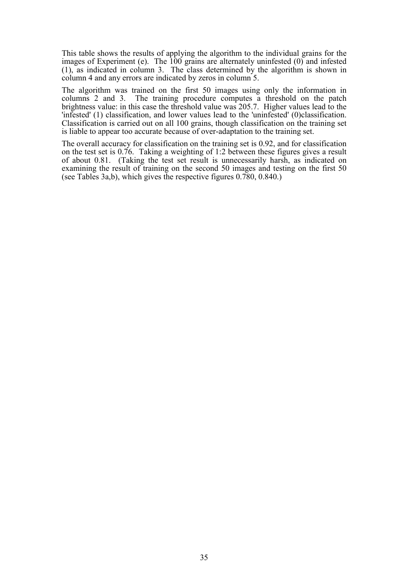This table shows the results of applying the algorithm to the individual grains for the images of Experiment (e). The 100 grains are alternately uninfested (0) and infested (1), as indicated in column 3. The class determined by the algorithm is shown in column 4 and any errors are indicated by zeros in column 5.

The algorithm was trained on the first 50 images using only the information in columns 2 and 3. The training procedure computes a threshold on the patch brightness value: in this case the threshold value was 205.7. Higher values lead to the 'infested' (1) classification, and lower values lead to the 'uninfested' (0)classification. Classification is carried out on all 100 grains, though classification on the training set is liable to appear too accurate because of over-adaptation to the training set.

The overall accuracy for classification on the training set is 0.92, and for classification on the test set is 0.76. Taking a weighting of 1:2 between these figures gives a result of about 0.81. (Taking the test set result is unnecessarily harsh, as indicated on examining the result of training on the second 50 images and testing on the first 50 (see Tables 3a,b), which gives the respective figures 0.780, 0.840.)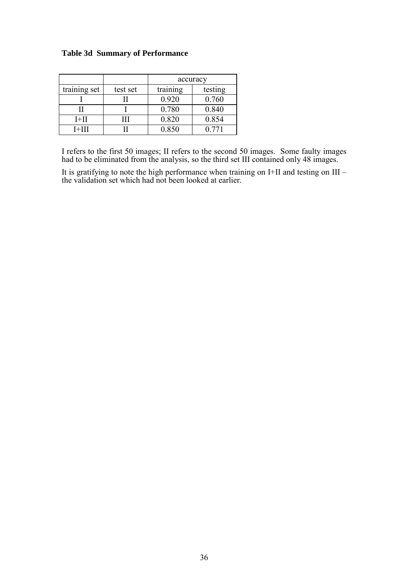# **Table 3d Summary of Performance**

|              |          | accuracy |         |  |
|--------------|----------|----------|---------|--|
| training set | test set | training | testing |  |
|              |          | 0.920    | 0.760   |  |
|              |          | 0.780    | 0.840   |  |
| I+II         | .        | 0.820    | 0.854   |  |
| I+III        |          | 0.850    | 0.771   |  |

I refers to the first 50 images; II refers to the second 50 images. Some faulty images had to be eliminated from the analysis, so the third set III contained only 48 images.

It is gratifying to note the high performance when training on I+II and testing on III – the validation set which had not been looked at earlier.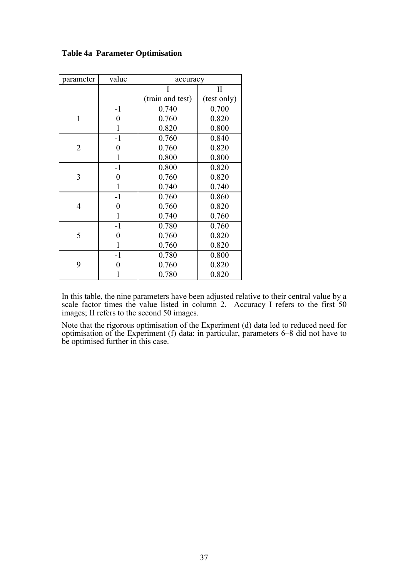| parameter      | value            | accuracy         |              |  |
|----------------|------------------|------------------|--------------|--|
|                |                  | I                | $\mathbf{I}$ |  |
|                |                  | (train and test) | (test only)  |  |
|                | $-1$             | 0.740            | 0.700        |  |
| $\mathbf{1}$   | $\boldsymbol{0}$ | 0.760            | 0.820        |  |
|                | 1                | 0.820            | 0.800        |  |
|                | $-1$             | 0.760            | 0.840        |  |
| $\overline{2}$ | 0                | 0.760            | 0.820        |  |
|                | 1                | 0.800            | 0.800        |  |
|                | $-1$             | 0.800            | 0.820        |  |
| 3              | 0                | 0.760            | 0.820        |  |
|                | 1                | 0.740            | 0.740        |  |
|                | $-1$             | 0.760            | 0.860        |  |
| 4              | $\overline{0}$   | 0.760            | 0.820        |  |
|                | 1                | 0.740            | 0.760        |  |
|                | $-1$             | 0.780            | 0.760        |  |
| 5              | 0                | 0.760            | 0.820        |  |
|                | 1                | 0.760            | 0.820        |  |
|                | $-1$             | 0.780            | 0.800        |  |
| 9              | 0                | 0.760            | 0.820        |  |
|                |                  | 0.780            | 0.820        |  |

### **Table 4a Parameter Optimisation**

In this table, the nine parameters have been adjusted relative to their central value by a scale factor times the value listed in column 2. Accuracy I refers to the first 50 images; II refers to the second 50 images.

Note that the rigorous optimisation of the Experiment (d) data led to reduced need for optimisation of the Experiment (f) data: in particular, parameters 6–8 did not have to be optimised further in this case.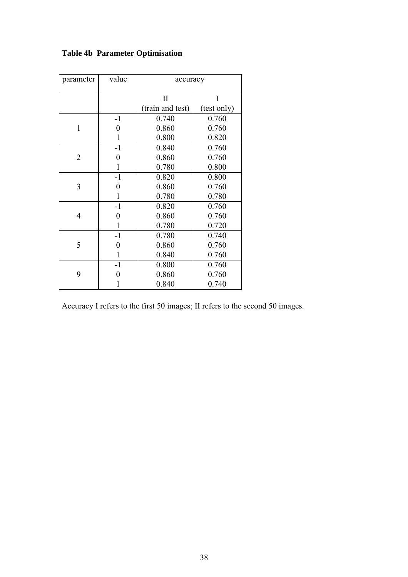| parameter      | value            | accuracy         |             |  |  |
|----------------|------------------|------------------|-------------|--|--|
|                |                  | $\mathbf{I}$     | I           |  |  |
|                |                  | (train and test) | (test only) |  |  |
|                | $-1$             | 0.740            | 0.760       |  |  |
| 1              | 0                | 0.860            | 0.760       |  |  |
|                | 1                | 0.800            | 0.820       |  |  |
|                | $-1$             | 0.840            | 0.760       |  |  |
| $\overline{2}$ | 0                | 0.860            | 0.760       |  |  |
|                | $\mathbf{1}$     | 0.780            | 0.800       |  |  |
|                | $-1$             | 0.820            | 0.800       |  |  |
| 3              | 0                | 0.860            | 0.760       |  |  |
|                | $\mathbf{1}$     | 0.780            | 0.780       |  |  |
|                | $-1$             | 0.820            | 0.760       |  |  |
| 4              | 0                | 0.860            | 0.760       |  |  |
|                | $\mathbf{1}$     | 0.780            | 0.720       |  |  |
|                | $-1$             | 0.780            | 0.740       |  |  |
| 5              | $\boldsymbol{0}$ | 0.860            | 0.760       |  |  |
|                | $\mathbf{1}$     | 0.840            | 0.760       |  |  |
|                | $-1$             | 0.800            | 0.760       |  |  |
| 9              | 0                | 0.860            | 0.760       |  |  |
|                | 1                | 0.840            | 0.740       |  |  |

# **Table 4b Parameter Optimisation**

Accuracy I refers to the first 50 images; II refers to the second 50 images.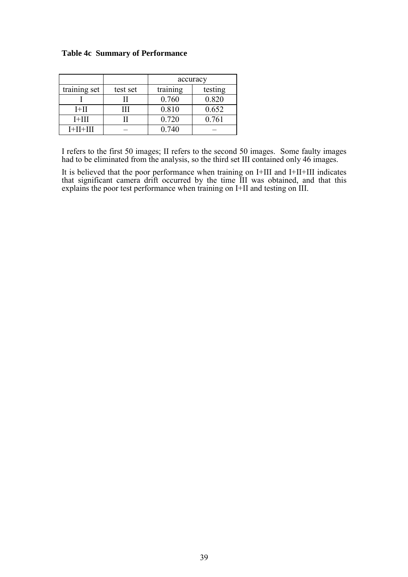|              |          | accuracy |         |  |
|--------------|----------|----------|---------|--|
| training set | test set | training | testing |  |
|              |          | 0.760    | 0.820   |  |
| $I+II$       | ,,,      | 0.810    | 0.652   |  |
| $I+III$      |          | 0.720    | 0.761   |  |
| $I+II+III$   |          | 0.740    |         |  |

I refers to the first 50 images; II refers to the second 50 images. Some faulty images had to be eliminated from the analysis, so the third set III contained only 46 images.

It is believed that the poor performance when training on I+III and I+II+III indicates that significant camera drift occurred by the time III was obtained, and that this explains the poor test performance when training on I+II and testing on III.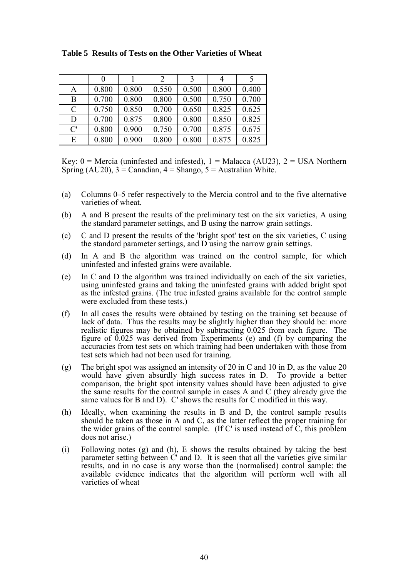|  | Table 5 Results of Tests on the Other Varieties of Wheat |  |
|--|----------------------------------------------------------|--|
|  |                                                          |  |

|               | $\theta$ |       | 2     | 3     | 4     |       |
|---------------|----------|-------|-------|-------|-------|-------|
| $\mathbf{A}$  | 0.800    | 0.800 | 0.550 | 0.500 | 0.800 | 0.400 |
| B             | 0.700    | 0.800 | 0.800 | 0.500 | 0.750 | 0.700 |
| $\mathcal{C}$ | 0.750    | 0.850 | 0.700 | 0.650 | 0.825 | 0.625 |
| D             | 0.700    | 0.875 | 0.800 | 0.800 | 0.850 | 0.825 |
| C'            | 0.800    | 0.900 | 0.750 | 0.700 | 0.875 | 0.675 |
| E             | 0.800    | 0.900 | 0.800 | 0.800 | 0.875 | 0.825 |

Key:  $0 =$  Mercia (uninfested and infested),  $1 =$  Malacca (AU23),  $2 =$  USA Northern Spring  $(AU20)$ ,  $3 =$ Canadian,  $4 =$ Shango,  $5 =$ Australian White.

- (a) Columns 0–5 refer respectively to the Mercia control and to the five alternative varieties of wheat.
- (b) A and B present the results of the preliminary test on the six varieties, A using the standard parameter settings, and B using the narrow grain settings.
- (c) C and D present the results of the 'bright spot' test on the six varieties, C using the standard parameter settings, and D using the narrow grain settings.
- (d) In A and B the algorithm was trained on the control sample, for which uninfested and infested grains were available.
- (e) In C and D the algorithm was trained individually on each of the six varieties, using uninfested grains and taking the uninfested grains with added bright spot as the infested grains. (The true infested grains available for the control sample were excluded from these tests.)
- (f) In all cases the results were obtained by testing on the training set because of lack of data. Thus the results may be slightly higher than they should be: more realistic figures may be obtained by subtracting 0.025 from each figure. The figure of 0.025 was derived from Experiments (e) and (f) by comparing the accuracies from test sets on which training had been undertaken with those from test sets which had not been used for training.
- (g) The bright spot was assigned an intensity of 20 in C and 10 in D, as the value 20 would have given absurdly high success rates in D. To provide a better comparison, the bright spot intensity values should have been adjusted to give the same results for the control sample in cases A and C (they already give the same values for B and D). C' shows the results for C modified in this way.
- (h) Ideally, when examining the results in B and D, the control sample results should be taken as those in A and C, as the latter reflect the proper training for the wider grains of the control sample. (If C' is used instead of C, this problem does not arise.)
- (i) Following notes (g) and (h), E shows the results obtained by taking the best parameter setting between C' and D. It is seen that all the varieties give similar results, and in no case is any worse than the (normalised) control sample: the available evidence indicates that the algorithm will perform well with all varieties of wheat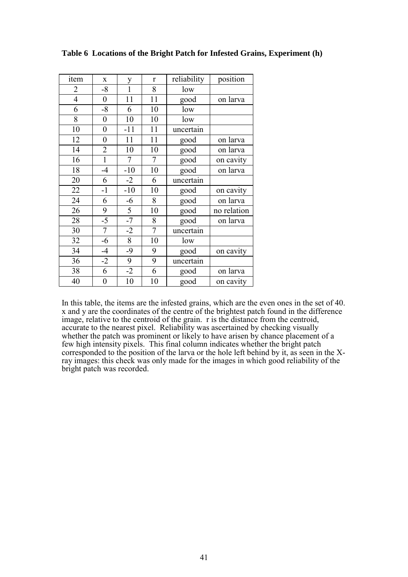| item                     | X                | y              | $\mathbf{r}$   | reliability | position    |
|--------------------------|------------------|----------------|----------------|-------------|-------------|
| $\overline{c}$           | $-8$             | 1              | 8              | low         |             |
| $\overline{\mathcal{A}}$ | $\boldsymbol{0}$ | 11             | 11             | good        | on larva    |
| 6                        | $-8$             | 6              | 10             | low         |             |
| 8                        | $\overline{0}$   | 10             | 10             | low         |             |
| 10                       | $\boldsymbol{0}$ | $-11$          | 11             | uncertain   |             |
| 12                       | $\boldsymbol{0}$ | 11             | 11             | good        | on larva    |
| 14                       | $\overline{2}$   | 10             | 10             | good        | on larva    |
| 16                       | $\overline{1}$   | $\overline{7}$ | $\overline{7}$ | good        | on cavity   |
| 18                       | $-4$             | $-10$          | 10             | good        | on larva    |
| 20                       | 6                | $-2$           | 6              | uncertain   |             |
| 22                       | $-1$             | $-10$          | 10             | good        | on cavity   |
| 24                       | 6                | $-6$           | 8              | good        | on larva    |
| 26                       | 9                | $\overline{5}$ | 10             | good        | no relation |
| 28                       | $-5$             | $-7$           | 8              | good        | on larva    |
| 30                       | $\overline{7}$   | $-2$           | $\overline{7}$ | uncertain   |             |
| 32                       | $-6$             | 8              | 10             | low         |             |
| $\overline{34}$          | $-4$             | $-9$           | 9              | good        | on cavity   |
| 36                       | $-2$             | 9              | 9              | uncertain   |             |
| 38                       | 6                | $-2$           | 6              | good        | on larva    |
| 40                       | $\boldsymbol{0}$ | 10             | 10             | good        | on cavity   |

### **Table 6 Locations of the Bright Patch for Infested Grains, Experiment (h)**

In this table, the items are the infested grains, which are the even ones in the set of 40. x and y are the coordinates of the centre of the brightest patch found in the difference image, relative to the centroid of the grain. r is the distance from the centroid, accurate to the nearest pixel. Reliability was ascertained by checking visually whether the patch was prominent or likely to have arisen by chance placement of a few high intensity pixels. This final column indicates whether the bright patch corresponded to the position of the larva or the hole left behind by it, as seen in the Xray images: this check was only made for the images in which good reliability of the bright patch was recorded.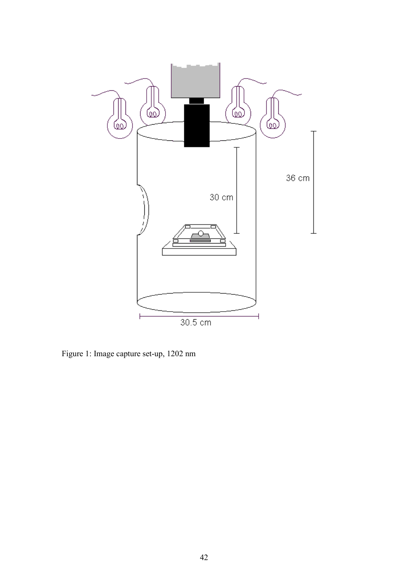

Figure 1: Image capture set-up, 1202 nm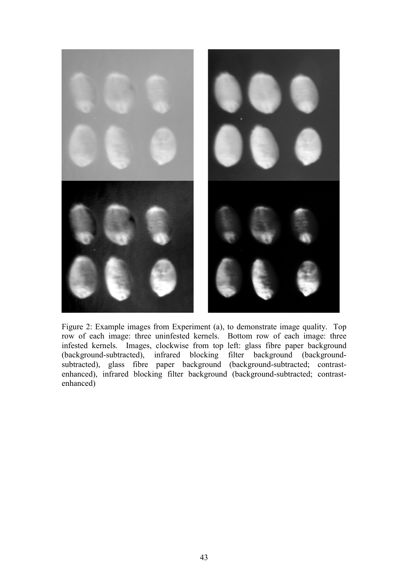

Figure 2: Example images from Experiment (a), to demonstrate image quality. Top row of each image: three uninfested kernels. Bottom row of each image: three infested kernels. Images, clockwise from top left: glass fibre paper background (background-subtracted), infrared blocking filter background (backgroundsubtracted), glass fibre paper background (background-subtracted; contrastenhanced), infrared blocking filter background (background-subtracted; contrastenhanced)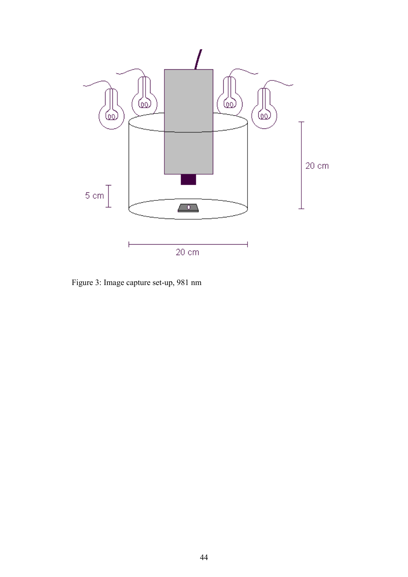

Figure 3: Image capture set-up, 981 nm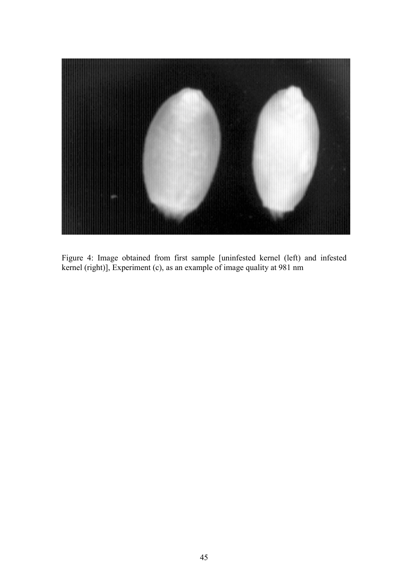

Figure 4: Image obtained from first sample [uninfested kernel (left) and infested kernel (right)], Experiment (c), as an example of image quality at 981 nm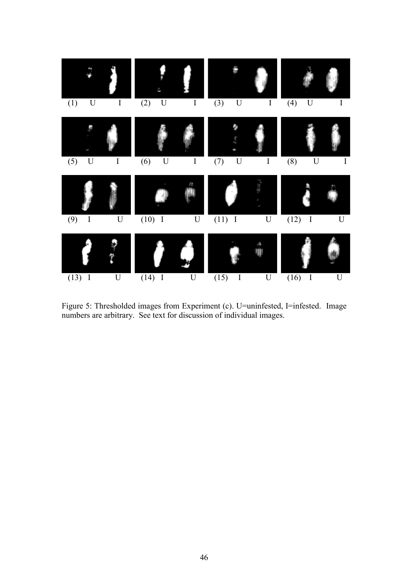

Figure 5: Thresholded images from Experiment (c). U=uninfested, I=infested. Image numbers are arbitrary. See text for discussion of individual images.